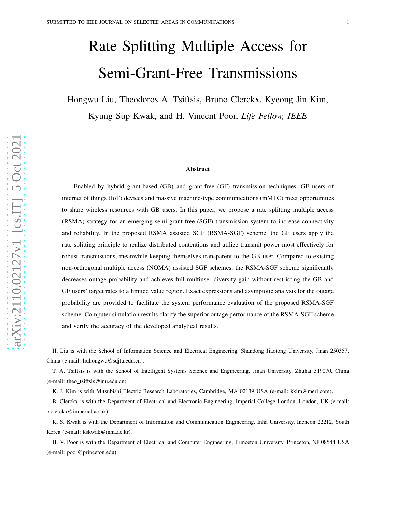# Rate Splitting Multiple Access for Semi-Grant-Free Transmissions

Hongwu Liu, Theodoros A. Tsiftsis, Bruno Clerckx, Kyeong Jin Kim, Kyung Sup Kwak, and H. Vincent Poor, *Life Fellow, IEEE*

#### Abstract

Enabled by hybrid grant-based (GB) and grant-free (GF) transmission techniques, GF users of internet of things (IoT) devices and massive machine-type communications (mMTC) meet opportunities to share wireless resources with GB users. In this paper, we propose a rate splitting multiple access (RSMA) strategy for an emerging semi-grant-free (SGF) transmission system to increase connectivity and reliability. In the proposed RSMA assisted SGF (RSMA-SGF) scheme, the GF users apply the rate splitting principle to realize distributed contentions and utilize transmit power most effectively for robust transmissions, meanwhile keeping themselves transparent to the GB user. Compared to existing non-orthogonal multiple access (NOMA) assisted SGF schemes, the RSMA-SGF scheme significantly decreases outage probability and achieves full multiuser diversity gain without restricting the GB and GF users' target rates to a limited value region. Exact expressions and asymptotic analysis for the outage probability are provided to facilitate the system performance evaluation of the proposed RSMA-SGF scheme. Computer simulation results clarify the superior outage performance of the RSMA-SGF scheme and verify the accuracy of the developed analytical results .

H. Liu is with the School of Information Science and Electrical Engineering, Shandong Jiaotong University, Jinan 250357, China (e-mail: liuhongwu@sdjtu.edu.cn).

T. A. Tsiftsis is with the School of Intelligent Systems Science and Engineering, Jinan University, Zhuhai 519070, Chin a (e-mail: theo\_tsiftsis@jnu.edu.cn).

K. J. Kim is with Mitsubishi Electric Research Laboratories, Cambridge, MA 02139 USA (e-mail: kkim@merl.com).

B. Clerckx is with the Department of Electrical and Electronic Engineering, Imperial College London, London, UK (e-mail: b.clerckx@imperial.ac.uk).

K. S. Kwak is with the Department of Information and Communication Engineering, Inha University, Incheon 22212, South Korea (e-mail: kskwak@inha.ac.kr).

H. V. Poor is with the Department of Electrical and Computer Engineering, Princeton University, Princeton, NJ 08544 USA (e-mail: poor@princeton.edu).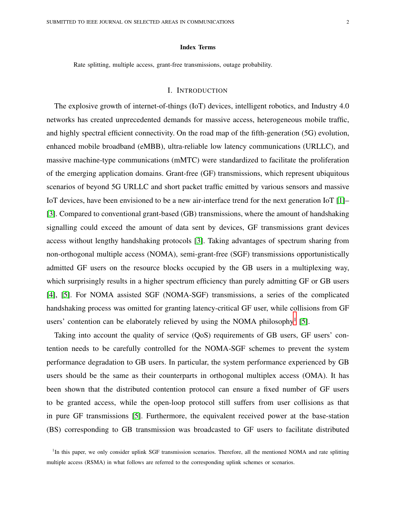#### Index Terms

Rate splitting, multiple access, grant-free transmissions, outage probability.

#### I. INTRODUCTION

The explosive growth of internet-of-things (IoT) devices, intelligent robotics, and Industry 4.0 networks has created unprecedented demands for massive access, heterogeneous mobile traffic, and highly spectral efficient connectivity. On the road map of the fifth-generation (5G) evolution, enhanced mobile broadband (eMBB), ultra-reliable low latency communications (URLLC), and massive machine-type communications (mMTC) were standardized to facilitate the proliferation of the emerging application domains. Grant-free (GF) transmissions, which represent ubiquitous scenarios of beyond 5G URLLC and short packet traffic emitted by various sensors and massive IoT devices, have been envisioned to be a new air-interface trend for the next generation IoT [\[1\]](#page-27-0)– [\[3\]](#page-27-1). Compared to conventional grant-based (GB) transmissions, where the amount of handshaking signalling could exceed the amount of data sent by devices, GF transmissions grant devices access without lengthy handshaking protocols [\[3\]](#page-27-1). Taking advantages of spectrum sharing from non-orthogonal multiple access (NOMA), semi-grant-free (SGF) transmissions opportunistically admitted GF users on the resource blocks occupied by the GB users in a multiplexing way, which surprisingly results in a higher spectrum efficiency than purely admitting GF or GB users [\[4\]](#page-27-2), [\[5\]](#page-27-3). For NOMA assisted SGF (NOMA-SGF) transmissions, a series of the complicated handshaking process was omitted for granting latency-critical GF user, while collisions from GF users' contention can be elaborately relieved by using the NOMA philosophy<sup>[1](#page-1-0)</sup> [\[5\]](#page-27-3).

Taking into account the quality of service (QoS) requirements of GB users, GF users' contention needs to be carefully controlled for the NOMA-SGF schemes to prevent the system performance degradation to GB users. In particular, the system performance experienced by GB users should be the same as their counterparts in orthogonal multiplex access (OMA). It has been shown that the distributed contention protocol can ensure a fixed number of GF users to be granted access, while the open-loop protocol still suffers from user collisions as that in pure GF transmissions [\[5\]](#page-27-3). Furthermore, the equivalent received power at the base-station (BS) corresponding to GB transmission was broadcasted to GF users to facilitate distributed

<span id="page-1-0"></span><sup>&</sup>lt;sup>1</sup>In this paper, we only consider uplink SGF transmission scenarios. Therefore, all the mentioned NOMA and rate splitting multiple access (RSMA) in what follows are referred to the corresponding uplink schemes or scenarios.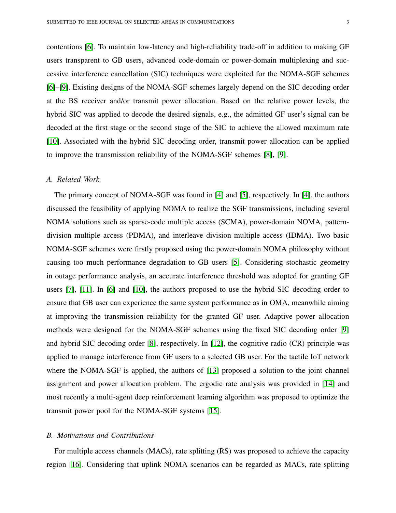contentions [\[6\]](#page-27-4). To maintain low-latency and high-reliability trade-off in addition to making GF users transparent to GB users, advanced code-domain or power-domain multiplexing and successive interference cancellation (SIC) techniques were exploited for the NOMA-SGF schemes [\[6\]](#page-27-4)–[\[9\]](#page-27-5). Existing designs of the NOMA-SGF schemes largely depend on the SIC decoding order at the BS receiver and/or transmit power allocation. Based on the relative power levels, the hybrid SIC was applied to decode the desired signals, e.g., the admitted GF user's signal can be decoded at the first stage or the second stage of the SIC to achieve the allowed maximum rate [\[10\]](#page-27-6). Associated with the hybrid SIC decoding order, transmit power allocation can be applied to improve the transmission reliability of the NOMA-SGF schemes [\[8\]](#page-27-7), [\[9\]](#page-27-5).

#### *A. Related Work*

The primary concept of NOMA-SGF was found in [\[4\]](#page-27-2) and [\[5\]](#page-27-3), respectively. In [\[4\]](#page-27-2), the authors discussed the feasibility of applying NOMA to realize the SGF transmissions, including several NOMA solutions such as sparse-code multiple access (SCMA), power-domain NOMA, patterndivision multiple access (PDMA), and interleave division multiple access (IDMA). Two basic NOMA-SGF schemes were firstly proposed using the power-domain NOMA philosophy without causing too much performance degradation to GB users [\[5\]](#page-27-3). Considering stochastic geometry in outage performance analysis, an accurate interference threshold was adopted for granting GF users [\[7\]](#page-27-8), [\[11\]](#page-27-9). In [\[6\]](#page-27-4) and [\[10\]](#page-27-6), the authors proposed to use the hybrid SIC decoding order to ensure that GB user can experience the same system performance as in OMA, meanwhile aiming at improving the transmission reliability for the granted GF user. Adaptive power allocation methods were designed for the NOMA-SGF schemes using the fixed SIC decoding order [\[9\]](#page-27-5) and hybrid SIC decoding order [\[8\]](#page-27-7), respectively. In [\[12\]](#page-27-10), the cognitive radio (CR) principle was applied to manage interference from GF users to a selected GB user. For the tactile IoT network where the NOMA-SGF is applied, the authors of [\[13\]](#page-27-11) proposed a solution to the joint channel assignment and power allocation problem. The ergodic rate analysis was provided in [\[14\]](#page-27-12) and most recently a multi-agent deep reinforcement learning algorithm was proposed to optimize the transmit power pool for the NOMA-SGF systems [\[15\]](#page-27-13).

#### *B. Motivations and Contributions*

For multiple access channels (MACs), rate splitting (RS) was proposed to achieve the capacity region [\[16\]](#page-27-14). Considering that uplink NOMA scenarios can be regarded as MACs, rate splitting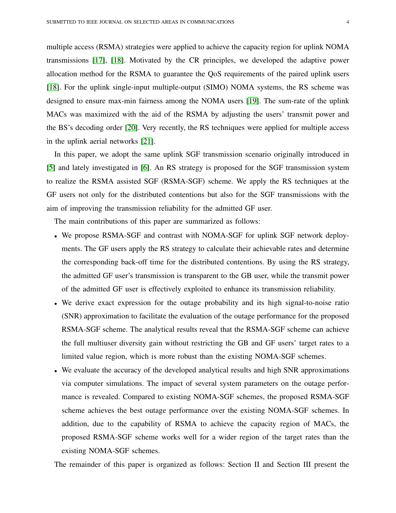multiple access (RSMA) strategies were applied to achieve the capacity region for uplink NOMA transmissions [\[17\]](#page-27-15), [\[18\]](#page-27-16). Motivated by the CR principles, we developed the adaptive power allocation method for the RSMA to guarantee the QoS requirements of the paired uplink users [\[18\]](#page-27-16). For the uplink single-input multiple-output (SIMO) NOMA systems, the RS scheme was designed to ensure max-min fairness among the NOMA users [\[19\]](#page-28-0). The sum-rate of the uplink MACs was maximized with the aid of the RSMA by adjusting the users' transmit power and the BS's decoding order [\[20\]](#page-28-1). Very recently, the RS techniques were applied for multiple access in the uplink aerial networks [\[21\]](#page-28-2).

In this paper, we adopt the same uplink SGF transmission scenario originally introduced in [\[5\]](#page-27-3) and lately investigated in [\[6\]](#page-27-4). An RS strategy is proposed for the SGF transmission system to realize the RSMA assisted SGF (RSMA-SGF) scheme. We apply the RS techniques at the GF users not only for the distributed contentions but also for the SGF transmissions with the aim of improving the transmission reliability for the admitted GF user.

The main contributions of this paper are summarized as follows:

- We propose RSMA-SGF and contrast with NOMA-SGF for uplink SGF network deployments. The GF users apply the RS strategy to calculate their achievable rates and determine the corresponding back-off time for the distributed contentions. By using the RS strategy, the admitted GF user's transmission is transparent to the GB user, while the transmit power of the admitted GF user is effectively exploited to enhance its transmission reliability.
- We derive exact expression for the outage probability and its high signal-to-noise ratio (SNR) approximation to facilitate the evaluation of the outage performance for the proposed RSMA-SGF scheme. The analytical results reveal that the RSMA-SGF scheme can achieve the full multiuser diversity gain without restricting the GB and GF users' target rates to a limited value region, which is more robust than the existing NOMA-SGF schemes.
- We evaluate the accuracy of the developed analytical results and high SNR approximations via computer simulations. The impact of several system parameters on the outage performance is revealed. Compared to existing NOMA-SGF schemes, the proposed RSMA-SGF scheme achieves the best outage performance over the existing NOMA-SGF schemes. In addition, due to the capability of RSMA to achieve the capacity region of MACs, the proposed RSMA-SGF scheme works well for a wider region of the target rates than the existing NOMA-SGF schemes.

The remainder of this paper is organized as follows: Section II and Section III present the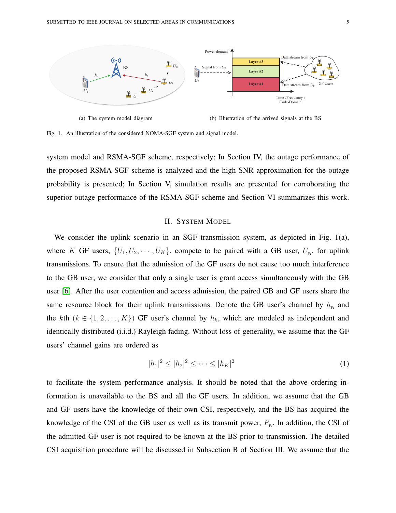



Fig. 1. An illustration of the considered NOMA-SGF system and signal model.

system model and RSMA-SGF scheme, respectively; In Section IV, the outage performance of the proposed RSMA-SGF scheme is analyzed and the high SNR approximation for the outage probability is presented; In Section V, simulation results are presented for corroborating the superior outage performance of the RSMA-SGF scheme and Section VI summarizes this work.

#### II. SYSTEM MODEL

We consider the uplink scenario in an SGF transmission system, as depicted in Fig. 1(a), where K GF users,  $\{U_1, U_2, \cdots, U_K\}$ , compete to be paired with a GB user,  $U_{\text{B}}$ , for uplink transmissions. To ensure that the admission of the GF users do not cause too much interference to the GB user, we consider that only a single user is grant access simultaneously with the GB user [\[6\]](#page-27-4). After the user contention and access admission, the paired GB and GF users share the same resource block for their uplink transmissions. Denote the GB user's channel by  $h_{\rm B}$  and the kth  $(k \in \{1, 2, ..., K\})$  GF user's channel by  $h_k$ , which are modeled as independent and identically distributed (i.i.d.) Rayleigh fading. Without loss of generality, we assume that the GF users' channel gains are ordered as

<span id="page-4-0"></span>
$$
|h_1|^2 \le |h_2|^2 \le \dots \le |h_K|^2 \tag{1}
$$

to facilitate the system performance analysis. It should be noted that the above ordering information is unavailable to the BS and all the GF users. In addition, we assume that the GB and GF users have the knowledge of their own CSI, respectively, and the BS has acquired the knowledge of the CSI of the GB user as well as its transmit power,  $P_{B}$ . In addition, the CSI of the admitted GF user is not required to be known at the BS prior to transmission. The detailed CSI acquisition procedure will be discussed in Subsection B of Section III. We assume that the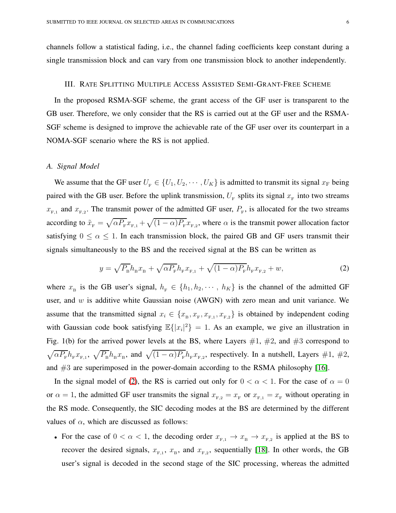channels follow a statistical fading, i.e., the channel fading coefficients keep constant during a single transmission block and can vary from one transmission block to another independently.

#### III. RATE SPLITTING MULTIPLE ACCESS ASSISTED SEMI-GRANT-FREE SCHEME

In the proposed RSMA-SGF scheme, the grant access of the GF user is transparent to the GB user. Therefore, we only consider that the RS is carried out at the GF user and the RSMA-SGF scheme is designed to improve the achievable rate of the GF user over its counterpart in a NOMA-SGF scenario where the RS is not applied.

#### *A. Signal Model*

We assume that the GF user  $U_F \in \{U_1, U_2, \cdots, U_K\}$  is admitted to transmit its signal  $x_F$  being paired with the GB user. Before the uplink transmission,  $U_{\rm F}$  splits its signal  $x_{\rm F}$  into two streams  $x_{F,1}$  and  $x_{F,2}$ . The transmit power of the admitted GF user,  $P_F$ , is allocated for the two streams according to  $\tilde{x}_F = \sqrt{\alpha P_F} x_{F,1} + \sqrt{(1-\alpha)P_F} x_{F,2}$ , where  $\alpha$  is the transmit power allocation factor satisfying  $0 \le \alpha \le 1$ . In each transmission block, the paired GB and GF users transmit their signals simultaneously to the BS and the received signal at the BS can be written as

<span id="page-5-0"></span>
$$
y = \sqrt{P_{B}}h_{B}x_{B} + \sqrt{\alpha P_{F}}h_{F}x_{F,1} + \sqrt{(1-\alpha)P_{F}}h_{F}x_{F,2} + w,
$$
\n(2)

where  $x_B$  is the GB user's signal,  $h_F \in \{h_1, h_2, \dots, h_K\}$  is the channel of the admitted GF user, and  $w$  is additive white Gaussian noise (AWGN) with zero mean and unit variance. We assume that the transmitted signal  $x_i \in \{x_{\text{B}}, x_{\text{F}}, x_{\text{F},1}, x_{\text{F},2}\}\$  is obtained by independent coding with Gaussian code book satisfying  $\mathbb{E}\{|x_i|^2\} = 1$ . As an example, we give an illustration in Fig. 1(b) for the arrived power levels at the BS, where Layers  $#1, #2,$  and  $#3$  correspond to  $\sqrt{\alpha P_{\rm F}} h_{\rm F} x_{\rm F,1}$ ,  $\sqrt{P_{\rm B}} h_{\rm B} x_{\rm B}$ , and  $\sqrt{(1-\alpha)P_{\rm F}} h_{\rm F} x_{\rm F,2}$ , respectively. In a nutshell, Layers #1, #2, and #3 are superimposed in the power-domain according to the RSMA philosophy [\[16\]](#page-27-14).

In the signal model of [\(2\)](#page-5-0), the RS is carried out only for  $0 < \alpha < 1$ . For the case of  $\alpha = 0$ or  $\alpha = 1$ , the admitted GF user transmits the signal  $x_{F,2} = x_F$  or  $x_{F,1} = x_F$  without operating in the RS mode. Consequently, the SIC decoding modes at the BS are determined by the different values of  $\alpha$ , which are discussed as follows:

• For the case of  $0 < \alpha < 1$ , the decoding order  $x_{F,1} \to x_B \to x_{F,2}$  is applied at the BS to recover the desired signals,  $x_{F,1}$ ,  $x_B$ , and  $x_{F,2}$ , sequentially [\[18\]](#page-27-16). In other words, the GB user's signal is decoded in the second stage of the SIC processing, whereas the admitted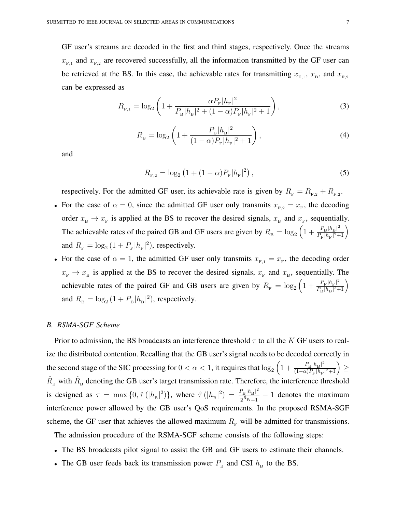GF user's streams are decoded in the first and third stages, respectively. Once the streams  $x_{F,1}$  and  $x_{F,2}$  are recovered successfully, all the information transmitted by the GF user can be retrieved at the BS. In this case, the achievable rates for transmitting  $x_{F,1}$ ,  $x_B$ , and  $x_{F,2}$ can be expressed as

<span id="page-6-0"></span>
$$
R_{F,1} = \log_2\left(1 + \frac{\alpha P_F |h_F|^2}{P_B |h_B|^2 + (1 - \alpha) P_F |h_F|^2 + 1}\right),\tag{3}
$$

$$
R_{\rm B} = \log_2\left(1 + \frac{P_{\rm B}|h_{\rm B}|^2}{(1-\alpha)P_{\rm F}|h_{\rm F}|^2 + 1}\right),\tag{4}
$$

and

$$
R_{F,2} = \log_2 \left( 1 + (1 - \alpha) P_F |h_F|^2 \right),\tag{5}
$$

respectively. For the admitted GF user, its achievable rate is given by  $R_{\rm F} = R_{\rm F,2} + R_{\rm F,2}$ .

- For the case of  $\alpha = 0$ , since the admitted GF user only transmits  $x_{F,2} = x_F$ , the decoding order  $x_{\text{B}} \to x_{\text{F}}$  is applied at the BS to recover the desired signals,  $x_{\text{B}}$  and  $x_{\text{F}}$ , sequentially. The achievable rates of the paired GB and GF users are given by  $R_B = \log_2 \left(1 + \frac{P_B |h_B|^2}{P_B |h_B|^2 + 1}\right)$  $\frac{P_\mathrm{B} |h_\mathrm{B}|^2}{P_\mathrm{F} |h_\mathrm{F}|^2+1} \bigg)$ and  $R_{\rm F} = \log_2\left(1 + P_{\rm F} |h_{\rm F}|^2\right)$ , respectively.
- For the case of  $\alpha = 1$ , the admitted GF user only transmits  $x_{F,1} = x_F$ , the decoding order  $x_F \to x_B$  is applied at the BS to recover the desired signals,  $x_F$  and  $x_B$ , sequentially. The achievable rates of the paired GF and GB users are given by  $R_F = \log_2 \left(1 + \frac{P_F |h_F|^2}{P_D |h_D|^2 + 1}\right)$  $\frac{P_{\rm F}|h_{\rm F}|^2}{P_{\rm B}|h_{\rm B}|^2+1}\bigg)$ and  $R_{\rm B} = \log_2\left(1 + P_{\rm B} |h_{\rm B}|^2\right)$ , respectively.

#### *B. RSMA-SGF Scheme*

Prior to admission, the BS broadcasts an interference threshold  $\tau$  to all the K GF users to realize the distributed contention. Recalling that the GB user's signal needs to be decoded correctly in the second stage of the SIC processing for  $0 < \alpha < 1$ , it requires that  $\log_2 \left(1 + \frac{P_B |h_B|^2}{(1 - \alpha)P_B |h_B|}\right)$  $\frac{P_\mathrm{B} |h_\mathrm{B}|^2}{(1-\alpha) P_\mathrm{F} |h_\mathrm{F}|^2 + 1} \Big) \geq$  $\hat{R}_{\rm B}$  with  $\hat{R}_{\rm B}$  denoting the GB user's target transmission rate. Therefore, the interference threshold is designed as  $\tau = \max\{0, \hat{\tau} \left( |h_{\rm B}|^2 \right) \}$ , where  $\hat{\tau} \left( |h_{\rm B}|^2 \right) = \frac{P_{\rm B} |h_{\rm B}|^2}{2 \hat{B}_{\rm B} - 1}$  $\frac{\sum_{B}^{R} |n_B|}{2^{\hat{R}_{B}}-1} - 1$  denotes the maximum interference power allowed by the GB user's QoS requirements. In the proposed RSMA-SGF scheme, the GF user that achieves the allowed maximum  $R_F$  will be admitted for transmissions.

The admission procedure of the RSMA-SGF scheme consists of the following steps:

- The BS broadcasts pilot signal to assist the GB and GF users to estimate their channels.
- The GB user feeds back its transmission power  $P_{\rm B}$  and CSI  $h_{\rm B}$  to the BS.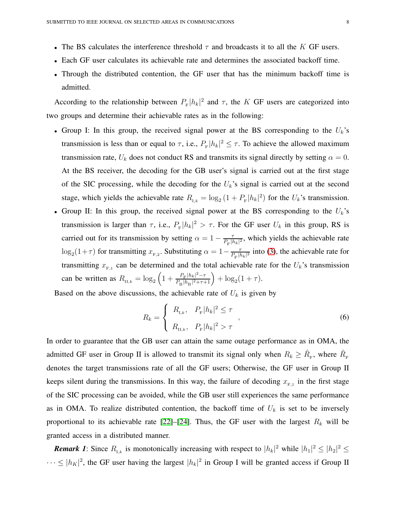- The BS calculates the interference threshold  $\tau$  and broadcasts it to all the K GF users.
- Each GF user calculates its achievable rate and determines the associated backoff time.
- Through the distributed contention, the GF user that has the minimum backoff time is admitted.

According to the relationship between  $P_{\rm F} |h_k|^2$  and  $\tau$ , the K GF users are categorized into two groups and determine their achievable rates as in the following:

- Group I: In this group, the received signal power at the BS corresponding to the  $U_k$ 's transmission is less than or equal to  $\tau$ , i.e.,  $P_{\rm F} |h_k|^2 \leq \tau$ . To achieve the allowed maximum transmission rate,  $U_k$  does not conduct RS and transmits its signal directly by setting  $\alpha = 0$ . At the BS receiver, the decoding for the GB user's signal is carried out at the first stage of the SIC processing, while the decoding for the  $U_k$ 's signal is carried out at the second stage, which yields the achievable rate  $R_{I,k} = \log_2(1 + P_{F} |h_k|^2)$  for the  $U_k$ 's transmission.
- Group II: In this group, the received signal power at the BS corresponding to the  $U_k$ 's transmission is larger than  $\tau$ , i.e.,  $P_{\rm F} |h_k|^2 > \tau$ . For the GF user  $U_k$  in this group, RS is carried out for its transmission by setting  $\alpha = 1 - \frac{7}{R+R}$  $\frac{\tau}{P_{\rm F}|h_k|^2}$ , which yields the achievable rate  $\log_2(1+\tau)$  for transmitting  $x_{F,2}$ . Substituting  $\alpha = 1 - \frac{\tau}{P_F |I|}$  $\frac{\tau}{P_{\rm F}|h_k|^2}$  into [\(3\)](#page-6-0), the achievable rate for transmitting  $x_{F,1}$  can be determined and the total achievable rate for the  $U_k$ 's transmission can be written as  $R_{\text{II},k} = \log_2 \left( 1 + \frac{P_{\text{F}} |h_k|^2 - \tau}{P_{\text{D}} |h_{\text{D}}|^2 + \tau + \tau^2} \right)$  $\frac{P_{\rm F} |h_k|^2 - \tau}{P_{\rm B} |h_{\rm B}|^2 + \tau + 1} + \log_2(1 + \tau).$

Based on the above discussions, the achievable rate of  $U_k$  is given by

$$
R_k = \begin{cases} R_{\text{I},k}, & P_{\text{F}} |h_k|^2 \le \tau \\ R_{\text{II},k}, & P_{\text{F}} |h_k|^2 > \tau \end{cases},
$$
\n(6)

In order to guarantee that the GB user can attain the same outage performance as in OMA, the admitted GF user in Group II is allowed to transmit its signal only when  $R_k \ge \hat{R}_{\rm F}$ , where  $\hat{R}_{\rm F}$ denotes the target transmissions rate of all the GF users; Otherwise, the GF user in Group II keeps silent during the transmissions. In this way, the failure of decoding  $x_{F,1}$  in the first stage of the SIC processing can be avoided, while the GB user still experiences the same performance as in OMA. To realize distributed contention, the backoff time of  $U_k$  is set to be inversely proportional to its achievable rate [\[22\]](#page-28-3)–[\[24\]](#page-28-4). Thus, the GF user with the largest  $R_k$  will be granted access in a distributed manner.

**Remark 1:** Since  $R_{1,k}$  is monotonically increasing with respect to  $|h_k|^2$  while  $|h_1|^2 \leq |h_2|^2 \leq$  $\cdots \le |h_K|^2$ , the GF user having the largest  $|h_k|^2$  in Group I will be granted access if Group II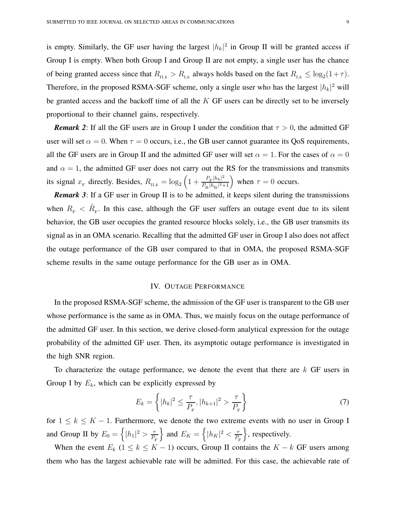is empty. Similarly, the GF user having the largest  $|h_k|^2$  in Group II will be granted access if Group I is empty. When both Group I and Group II are not empty, a single user has the chance of being granted access since that  $R_{II,k} > R_{I,k}$  always holds based on the fact  $R_{I,k} \leq \log_2(1+\tau)$ . Therefore, in the proposed RSMA-SGF scheme, only a single user who has the largest  $|h_k|^2$  will be granted access and the backoff time of all the  $K$  GF users can be directly set to be inversely proportional to their channel gains, respectively.

*Remark 2*: If all the GF users are in Group I under the condition that  $\tau > 0$ , the admitted GF user will set  $\alpha = 0$ . When  $\tau = 0$  occurs, i.e., the GB user cannot guarantee its QoS requirements, all the GF users are in Group II and the admitted GF user will set  $\alpha = 1$ . For the cases of  $\alpha = 0$ and  $\alpha = 1$ , the admitted GF user does not carry out the RS for the transmissions and transmits its signal  $x_F$  directly. Besides,  $R_{\text{II},k} = \log_2\left(1 + \frac{P_F|h_k|^2}{P_B|h_B|^2}\right)$  $\frac{P_{\rm F}|h_k|^2}{P_{\rm B}|h_{\rm B}|^2+1}$  when  $\tau = 0$  occurs.

*Remark 3*: If a GF user in Group II is to be admitted, it keeps silent during the transmissions when  $R_F < \hat{R}_F$ . In this case, although the GF user suffers an outage event due to its silent behavior, the GB user occupies the granted resource blocks solely, i.e., the GB user transmits its signal as in an OMA scenario. Recalling that the admitted GF user in Group I also does not affect the outage performance of the GB user compared to that in OMA, the proposed RSMA-SGF scheme results in the same outage performance for the GB user as in OMA.

#### IV. OUTAGE PERFORMANCE

In the proposed RSMA-SGF scheme, the admission of the GF user is transparent to the GB user whose performance is the same as in OMA. Thus, we mainly focus on the outage performance of the admitted GF user. In this section, we derive closed-form analytical expression for the outage probability of the admitted GF user. Then, its asymptotic outage performance is investigated in the high SNR region.

To characterize the outage performance, we denote the event that there are  $k$  GF users in Group I by  $E_k$ , which can be explicitly expressed by

$$
E_k = \left\{ |h_k|^2 \le \frac{\tau}{P_{\rm F}}, |h_{k+1}|^2 > \frac{\tau}{P_{\rm F}} \right\} \tag{7}
$$

for  $1 \leq k \leq K - 1$ . Furthermore, we denote the two extreme events with no user in Group I and Group II by  $E_0 = \left\{ |h_1|^2 > \frac{\tau}{R} \right\}$  $P_{\rm F}$ } and  $E_K = \left\{ |h_K|^2 < \frac{\tau}{R} \right\}$  $P_{\rm F}$  $\}$ , respectively.

When the event  $E_k$  (1 ≤ k ≤ K − 1) occurs, Group II contains the  $K - k$  GF users among them who has the largest achievable rate will be admitted. For this case, the achievable rate of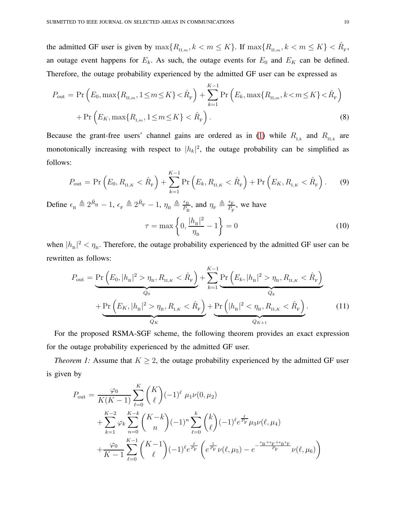the admitted GF user is given by  $\max\{R_{\text{II},m}, k < m \leq K\}$ . If  $\max\{R_{\text{II},m}, k < m \leq K\} < \hat{R}_{\text{F}}$ , an outage event happens for  $E_k$ . As such, the outage events for  $E_0$  and  $E_K$  can be defined. Therefore, the outage probability experienced by the admitted GF user can be expressed as

$$
P_{\text{out}} = \Pr\left(E_0, \max\{R_{\text{II},m}, 1 \le m \le K\} < \hat{R}_{\text{F}}\right) + \sum_{k=1}^{K-1} \Pr\left(E_k, \max\{R_{\text{II},m}, k < m \le K\} < \hat{R}_{\text{F}}\right) + \Pr\left(E_K, \max\{R_{\text{I},m}, 1 \le m \le K\} < \hat{R}_{\text{F}}\right). \tag{8}
$$

Because the grant-free users' channel gains are ordered as in [\(1\)](#page-4-0) while  $R_{I,k}$  and  $R_{II,k}$  are monotonically increasing with respect to  $|h_k|^2$ , the outage probability can be simplified as follows:

<span id="page-9-1"></span>
$$
P_{\text{out}} = \Pr\left(E_0, R_{\text{II},K} < \hat{R}_{\text{F}}\right) + \sum_{k=1}^{K-1} \Pr\left(E_k, R_{\text{II},K} < \hat{R}_{\text{F}}\right) + \Pr\left(E_K, R_{\text{I},K} < \hat{R}_{\text{F}}\right). \tag{9}
$$

Define  $\epsilon_{\rm B} \triangleq 2^{\hat{R}_{\rm B}} - 1$ ,  $\epsilon_{\rm F} \triangleq 2^{\hat{R}_{\rm F}} - 1$ ,  $\eta_{\rm B} \triangleq \frac{\epsilon_{\rm B}}{P_{\rm B}}$  $\frac{\epsilon_B}{P_B}$ , and  $\eta_F \triangleq \frac{\epsilon_F}{P_F}$  $\frac{\epsilon_F}{P_F}$ , we have

$$
\tau = \max\left\{0, \frac{|h_{\rm B}|^2}{\eta_{\rm B}} - 1\right\} = 0\tag{10}
$$

when  $|h_{\rm B}|^2 < \eta_{\rm B}$ . Therefore, the outage probability experienced by the admitted GF user can be rewritten as follows:

<span id="page-9-0"></span>
$$
P_{\text{out}} = \underbrace{\Pr\left(E_{0}, |h_{\text{B}}|^{2} > \eta_{\text{B}}, R_{\text{II},K} < \hat{R}_{\text{F}}\right)}_{Q_{0}} + \underbrace{\sum_{k=1}^{K-1} \underbrace{\Pr\left(E_{k}, |h_{\text{B}}|^{2} > \eta_{\text{B}}, R_{\text{II},K} < \hat{R}_{\text{F}}\right)}_{Q_{k}} + \underbrace{\Pr\left(E_{K}, |h_{\text{B}}|^{2} > \eta_{\text{B}}, R_{\text{II},K} < \hat{R}_{\text{F}}\right)}_{Q_{K}} + \underbrace{\Pr\left(E_{K}, |h_{\text{B}}|^{2} > \eta_{\text{B}}, R_{\text{II},K} < \hat{R}_{\text{F}}\right)}_{Q_{K+1}}.
$$
\n(11)

For the proposed RSMA-SGF scheme, the following theorem provides an exact expression for the outage probability experienced by the admitted GF user.

*Theorem 1:* Assume that  $K \geq 2$ , the outage probability experienced by the admitted GF user is given by

$$
P_{\text{out}} = \frac{\varphi_0}{K(K-1)} \sum_{\ell=0}^{K} {K \choose \ell} (-1)^{\ell} \mu_1 \nu(0, \mu_2)
$$
  
+ 
$$
\sum_{k=1}^{K-2} \varphi_k \sum_{n=0}^{K-k} {K-k \choose n} (-1)^n \sum_{\ell=0}^{k} {k \choose \ell} (-1)^{\ell} e^{\frac{\ell}{P_{\text{F}}}} \mu_3 \nu(\ell, \mu_4)
$$
  
+ 
$$
\frac{\varphi_0}{K-1} \sum_{\ell=0}^{K-1} {K-1 \choose \ell} (-1)^{\ell} e^{\frac{\ell}{P_{\text{F}}}} \left( e^{\frac{1}{P_{\text{F}}}} \nu(\ell, \mu_5) - e^{-\frac{\epsilon_{\text{B}} + \epsilon_{\text{F}} + \epsilon_{\text{B}} \epsilon_{\text{F}}}{P_{\text{F}}}} \nu(\ell, \mu_6) \right)
$$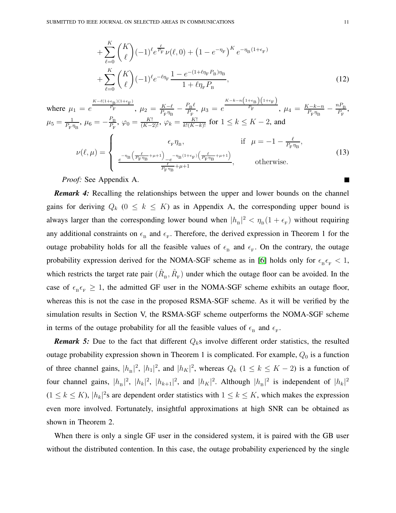$$
+\sum_{\ell=0}^{K} {K \choose \ell} (-1)^{\ell} e^{\frac{\ell}{P_{\rm F}}} \nu(\ell,0) + (1 - e^{-\eta_{\rm F}})^{K} e^{-\eta_{\rm B}(1 + \epsilon_{\rm F})} + \sum_{\ell=0}^{K} {K \choose \ell} (-1)^{\ell} e^{-\ell \eta_{\rm F}} \frac{1 - e^{-(1 + \ell \eta_{\rm F} P_{\rm B}) \eta_{\rm B}}}{1 + \ell \eta_{\rm F} P_{\rm B}},
$$
\n(12)

where 
$$
\mu_1 = e^{\frac{K - \ell(1 + \epsilon_B)(1 + \epsilon_F)}{P_F}}, \ \mu_2 = \frac{K - \ell}{P_F \eta_B} - \frac{P_B \ell}{P_F}, \ \mu_3 = e^{\frac{K - k - n\left(1 + \epsilon_B\right)\left(1 + \epsilon_F\right)}{P_F}}, \ \mu_4 = \frac{K - k - n}{P_F \eta_B} - \frac{n P_B}{P_F},
$$
  
\n $\mu_5 = \frac{1}{P_F \eta_B}, \ \mu_6 = -\frac{P_B}{P_F}, \ \varphi_0 = \frac{K!}{(K - 2)!}, \ \varphi_k = \frac{K!}{k!(K - k)!} \text{ for } 1 \le k \le K - 2, \text{ and}$   
\n
$$
\nu(\ell, \mu) = \begin{cases}\n\epsilon_F \eta_B, & \text{if } \mu = -1 - \frac{\ell}{P_F \eta_B}, \\
\frac{e^{-\eta_B \left(\frac{\ell}{P_F \eta_B} + \mu + 1\right)} - e^{-\eta_B (1 + \epsilon_F) \left(\frac{\ell}{P_F \eta_B} + \mu + 1\right)}}{\frac{\ell}{P_F \eta_B} + \mu + 1}, & \text{otherwise.}\n\end{cases}
$$
\n(13)

*Proof:* See Appendix A.

*Remark 4:* Recalling the relationships between the upper and lower bounds on the channel gains for deriving  $Q_k$  ( $0 \le k \le K$ ) as in Appendix A, the corresponding upper bound is always larger than the corresponding lower bound when  $|h_{\rm B}|^2 < \eta_{\rm B}(1+\epsilon_{\rm F})$  without requiring any additional constraints on  $\epsilon_B$  and  $\epsilon_F$ . Therefore, the derived expression in Theorem 1 for the outage probability holds for all the feasible values of  $\epsilon_B$  and  $\epsilon_F$ . On the contrary, the outage probability expression derived for the NOMA-SGF scheme as in [\[6\]](#page-27-4) holds only for  $\epsilon_{\rm B} \epsilon_{\rm F} < 1$ , which restricts the target rate pair  $(\hat{R}_{\rm B}, \hat{R}_{\rm F})$  under which the outage floor can be avoided. In the case of  $\epsilon_{\text{B}}\epsilon_{\text{F}} \geq 1$ , the admitted GF user in the NOMA-SGF scheme exhibits an outage floor, whereas this is not the case in the proposed RSMA-SGF scheme. As it will be verified by the simulation results in Section V, the RSMA-SGF scheme outperforms the NOMA-SGF scheme in terms of the outage probability for all the feasible values of  $\epsilon_B$  and  $\epsilon_F$ .

**Remark 5:** Due to the fact that different  $Q_k$ s involve different order statistics, the resulted outage probability expression shown in Theorem 1 is complicated. For example,  $Q_0$  is a function of three channel gains,  $|h_{\rm B}|^2$ ,  $|h_1|^2$ , and  $|h_K|^2$ , whereas  $Q_k$  ( $1 \le k \le K - 2$ ) is a function of four channel gains,  $|h_{\rm B}|^2$ ,  $|h_k|^2$ ,  $|h_{k+1}|^2$ , and  $|h_K|^2$ . Although  $|h_{\rm B}|^2$  is independent of  $|h_k|^2$  $(1 \le k \le K)$ ,  $|h_k|^2$ s are dependent order statistics with  $1 \le k \le K$ , which makes the expression even more involved. Fortunately, insightful approximations at high SNR can be obtained as shown in Theorem 2.

When there is only a single GF user in the considered system, it is paired with the GB user without the distributed contention. In this case, the outage probability experienced by the single

L.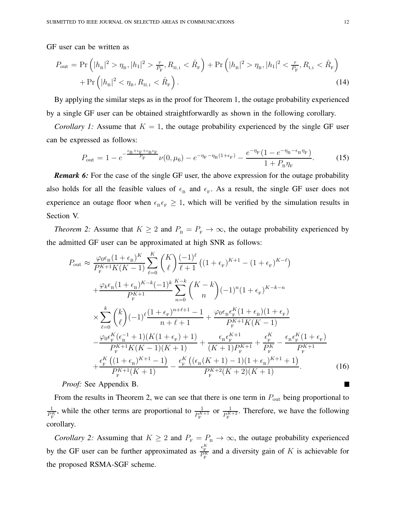GF user can be written as

<span id="page-11-0"></span>
$$
P_{\text{out}} = \Pr\left(|h_{\text{B}}|^2 > \eta_{\text{B}}, |h_1|^2 > \frac{\tau}{P_{\text{F}}}, R_{\text{II},1} < \hat{R}_{\text{F}}\right) + \Pr\left(|h_{\text{B}}|^2 > \eta_{\text{B}}, |h_1|^2 < \frac{\tau}{P_{\text{F}}}, R_{\text{I},1} < \hat{R}_{\text{F}}\right) + \Pr\left(|h_{\text{B}}|^2 < \eta_{\text{B}}, R_{\text{II},1} < \hat{R}_{\text{F}}\right).
$$
\n(14)

By applying the similar steps as in the proof for Theorem 1, the outage probability experienced by a single GF user can be obtained straightforwardly as shown in the following corollary.

*Corollary 1:* Assume that  $K = 1$ , the outage probability experienced by the single GF user can be expressed as follows:

$$
P_{\text{out}} = 1 - e^{-\frac{\epsilon_{\text{B}} + \epsilon_{\text{F}} + \epsilon_{\text{B}} \epsilon_{\text{F}}}{P_{\text{F}}}} \nu(0, \mu_{6}) - e^{-\eta_{\text{F}} - \eta_{\text{B}}(1 + \epsilon_{\text{F}})} - \frac{e^{-\eta_{\text{F}}}(1 - e^{-\eta_{\text{B}} - \epsilon_{\text{B}}\eta_{\text{F}}})}{1 + P_{\text{B}}\eta_{\text{F}}}.
$$
 (15)

*Remark 6:* For the case of the single GF user, the above expression for the outage probability also holds for all the feasible values of  $\epsilon_B$  and  $\epsilon_F$ . As a result, the single GF user does not experience an outage floor when  $\epsilon_{\text{B}} \epsilon_{\text{F}} \geq 1$ , which will be verified by the simulation results in Section V.

*Theorem 2:* Assume that  $K \geq 2$  and  $P_{\text{B}} = P_{\text{F}} \to \infty$ , the outage probability experienced by the admitted GF user can be approximated at high SNR as follows:

$$
P_{\text{out}} \approx \frac{\varphi_0 \epsilon_{\text{B}} (1 + \epsilon_{\text{B}})^K}{P_{\text{F}}^{K+1} K(K-1)} \sum_{\ell=0}^K \binom{K}{\ell} \frac{(-1)^{\ell}}{\ell+1} \left( (1 + \epsilon_{\text{F}})^{K+1} - (1 + \epsilon_{\text{F}})^{K-\ell} \right)
$$
  
+ 
$$
\frac{\varphi_k \epsilon_{\text{B}} (1 + \epsilon_{\text{B}})^{K-k} (-1)^k}{P_{\text{F}}^{K+1}} \sum_{n=0}^{K-k} \binom{K-k}{n} (-1)^n (1 + \epsilon_{\text{F}})^{K-k-n}
$$
  

$$
\times \sum_{\ell=0}^k \binom{k}{\ell} (-1)^{\ell} \frac{(1 + \epsilon_{\text{F}})^{n+\ell+1} - 1}{n+\ell+1} + \frac{\varphi_0 \epsilon_{\text{B}} \epsilon_{\text{F}}^K (1 + \epsilon_{\text{B}}) (1 + \epsilon_{\text{F}})}{P_{\text{F}}^{K+1} K(K-1)}
$$
  
- 
$$
\frac{\varphi_0 \epsilon_{\text{F}}^K (\epsilon_{\text{B}}^{-1} + 1) (K(1 + \epsilon_{\text{F}}) + 1)}{P_{\text{F}}^{K+1} K(K-1)(K+1)} + \frac{\epsilon_{\text{B}} \epsilon_{\text{F}}^{K+1}}{(K+1) P_{\text{F}}^{K+1}} + \frac{\epsilon_{\text{F}}^K}{P_{\text{F}}^K} - \frac{\epsilon_{\text{B}} \epsilon_{\text{F}}^K (1 + \epsilon_{\text{F}})}{P_{\text{F}}^{K+1}}
$$
  
+ 
$$
\frac{\epsilon_{\text{F}}^K \left( (1 + \epsilon_{\text{B}})^{K+1} - 1 \right)}{P_{\text{F}}^{K+1} (K+1)} - \frac{\epsilon_{\text{F}}^K \left( (\epsilon_{\text{B}} (K+1) - 1)(1 + \epsilon_{\text{B}})^{K+1} + 1 \right)}{P_{\text{F}}^{K+2} (K+2)(K+1)}.
$$
(16)

*Proof:* See Appendix B.

From the results in Theorem 2, we can see that there is one term in  $P_{\text{out}}$  being proportional to  $\frac{1}{P_F^K}$ , while the other terms are proportional to  $\frac{1}{P_F^{K+1}}$  or  $\frac{1}{P_F^{K+2}}$ . Therefore, we have the following corollary.

*Corollary 2:* Assuming that  $K \geq 2$  and  $P_F = P_B \rightarrow \infty$ , the outage probability experienced by the GF user can be further approximated as  $\frac{\epsilon_F^K}{P_F^K}$  and a diversity gain of K is achievable for the proposed RSMA-SGF scheme.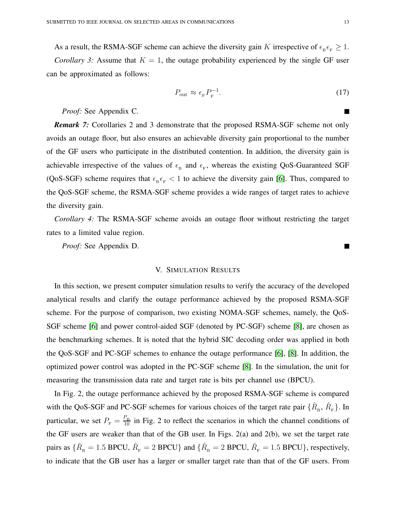As a result, the RSMA-SGF scheme can achieve the diversity gain K irrespective of  $\epsilon_{\rm B} \epsilon_{\rm F} \ge 1$ . *Corollary 3:* Assume that  $K = 1$ , the outage probability experienced by the single GF user can be approximated as follows:

$$
P_{\text{out}} \approx \epsilon_{\text{F}} P_{\text{F}}^{-1}.
$$
\n(17)

*Proof:* See Appendix C.

*Remark 7:* Corollaries 2 and 3 demonstrate that the proposed RSMA-SGF scheme not only avoids an outage floor, but also ensures an achievable diversity gain proportional to the number of the GF users who participate in the distributed contention. In addition, the diversity gain is achievable irrespective of the values of  $\epsilon_B$  and  $\epsilon_F$ , whereas the existing QoS-Guaranteed SGF (QoS-SGF) scheme requires that  $\epsilon_{\rm B} \epsilon_{\rm F} < 1$  to achieve the diversity gain [\[6\]](#page-27-4). Thus, compared to the QoS-SGF scheme, the RSMA-SGF scheme provides a wide ranges of target rates to achieve the diversity gain.

*Corollary 4:* The RSMA-SGF scheme avoids an outage floor without restricting the target rates to a limited value region.

*Proof:* See Appendix D.

#### V. SIMULATION RESULTS

In this section, we present computer simulation results to verify the accuracy of the developed analytical results and clarify the outage performance achieved by the proposed RSMA-SGF scheme. For the purpose of comparison, two existing NOMA-SGF schemes, namely, the QoS-SGF scheme [\[6\]](#page-27-4) and power control-aided SGF (denoted by PC-SGF) scheme [\[8\]](#page-27-7), are chosen as the benchmarking schemes. It is noted that the hybrid SIC decoding order was applied in both the QoS-SGF and PC-SGF schemes to enhance the outage performance [\[6\]](#page-27-4), [\[8\]](#page-27-7). In addition, the optimized power control was adopted in the PC-SGF scheme [\[8\]](#page-27-7). In the simulation, the unit for measuring the transmission data rate and target rate is bits per channel use (BPCU).

In Fig. 2, the outage performance achieved by the proposed RSMA-SGF scheme is compared with the QoS-SGF and PC-SGF schemes for various choices of the target rate pair  $\{\hat{R}_{\rm B}, \hat{R}_{\rm F}\}\.$  In particular, we set  $P_F = \frac{P_B}{10}$  in Fig. 2 to reflect the scenarios in which the channel conditions of the GF users are weaker than that of the GB user. In Figs. 2(a) and 2(b), we set the target rate pairs as  $\{\hat{R}_{\scriptscriptstyle{\rm B}}=1.5$  BPCU,  $\hat{R}_{\scriptscriptstyle{\rm F}}=2$  BPCU} and  $\{\hat{R}_{\scriptscriptstyle{\rm B}}=2$  BPCU,  $\hat{R}_{\scriptscriptstyle{\rm F}}=1.5$  BPCU}, respectively, to indicate that the GB user has a larger or smaller target rate than that of the GF users. From

Г

П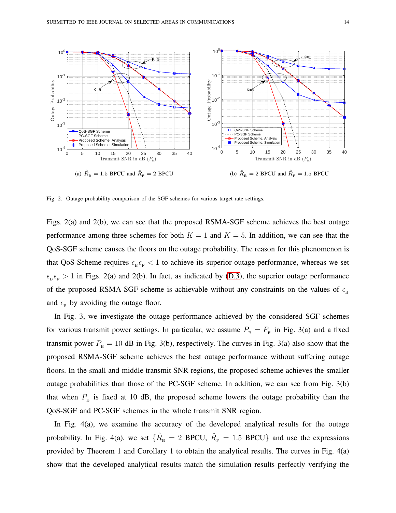

Fig. 2. Outage probability comparison of the SGF schemes for various target rate settings.

Figs. 2(a) and 2(b), we can see that the proposed RSMA-SGF scheme achieves the best outage performance among three schemes for both  $K = 1$  and  $K = 5$ . In addition, we can see that the QoS-SGF scheme causes the floors on the outage probability. The reason for this phenomenon is that QoS-Scheme requires  $\epsilon_{\rm B} \epsilon_{\rm F} < 1$  to achieve its superior outage performance, whereas we set  $\epsilon_{\rm B} \epsilon_{\rm F} > 1$  in Figs. 2(a) and 2(b). In fact, as indicated by [\(D.3\)](#page-26-0), the superior outage performance of the proposed RSMA-SGF scheme is achievable without any constraints on the values of  $\epsilon_B$ and  $\epsilon_{\rm F}$  by avoiding the outage floor.

In Fig. 3, we investigate the outage performance achieved by the considered SGF schemes for various transmit power settings. In particular, we assume  $P_{\rm B} = P_{\rm F}$  in Fig. 3(a) and a fixed transmit power  $P_{\text{B}} = 10$  dB in Fig. 3(b), respectively. The curves in Fig. 3(a) also show that the proposed RSMA-SGF scheme achieves the best outage performance without suffering outage floors. In the small and middle transmit SNR regions, the proposed scheme achieves the smaller outage probabilities than those of the PC-SGF scheme. In addition, we can see from Fig. 3(b) that when  $P_{\rm B}$  is fixed at 10 dB, the proposed scheme lowers the outage probability than the QoS-SGF and PC-SGF schemes in the whole transmit SNR region.

In Fig. 4(a), we examine the accuracy of the developed analytical results for the outage probability. In Fig. 4(a), we set  $\{\hat{R}_{\text{\tiny B}}=2$  BPCU,  $\hat{R}_{\text{\tiny F}}=1.5$  BPCU} and use the expressions provided by Theorem 1 and Corollary 1 to obtain the analytical results. The curves in Fig. 4(a) show that the developed analytical results match the simulation results perfectly verifying the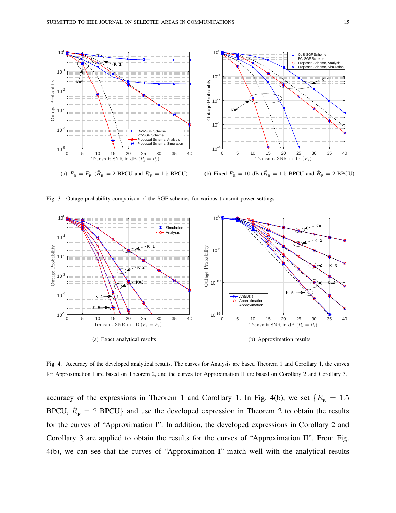

(b) Fixed  $P_{\rm B} = 10$  dB ( $\hat{R}_{\rm B} = 1.5$  BPCU and  $\hat{R}_{\rm F} = 2$  BPCU)

Fig. 3. Outage probability comparison of the SGF schemes for various transmit power settings.



Fig. 4. Accuracy of the developed analytical results. The curves for Analysis are based Theorem 1 and Corollary 1, the curves for Approximation I are based on Theorem 2, and the curves for Approximation II are based on Corollary 2 and Corollary 3.

accuracy of the expressions in Theorem 1 and Corollary 1. In Fig. 4(b), we set  $\{\hat{R}_{\text{\tiny B}}=1.5$ BPCU,  $\hat{R}_{\text{F}} = 2$  BPCU} and use the developed expression in Theorem 2 to obtain the results for the curves of "Approximation I". In addition, the developed expressions in Corollary 2 and Corollary 3 are applied to obtain the results for the curves of "Approximation II". From Fig. 4(b), we can see that the curves of "Approximation I" match well with the analytical results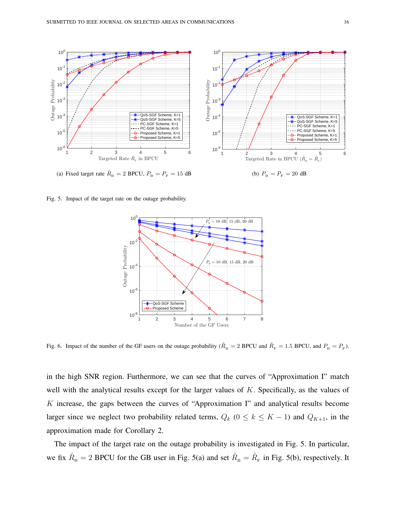

Fig. 5. Impact of the target rate on the outage probability.



Fig. 6. Impact of the number of the GF users on the outage probability ( $\hat{R}_B = 2$  BPCU and  $\hat{R}_F = 1.5$  BPCU, and  $P_B = P_F$ ).

in the high SNR region. Furthermore, we can see that the curves of "Approximation I" match well with the analytical results except for the larger values of K. Specifically, as the values of K increase, the gaps between the curves of "Approximation I" and analytical results become larger since we neglect two probability related terms,  $Q_k$  ( $0 \le k \le K - 1$ ) and  $Q_{K+1}$ , in the approximation made for Corollary 2.

The impact of the target rate on the outage probability is investigated in Fig. 5. In particular, we fix  $\hat{R}_{B} = 2$  BPCU for the GB user in Fig. 5(a) and set  $\hat{R}_{B} = \hat{R}_{F}$  in Fig. 5(b), respectively. It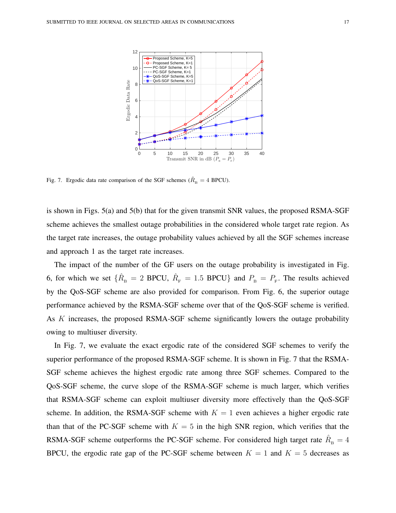

Fig. 7. Ergodic data rate comparison of the SGF schemes ( $\hat{R}_B = 4$  BPCU).

is shown in Figs. 5(a) and 5(b) that for the given transmit SNR values, the proposed RSMA-SGF scheme achieves the smallest outage probabilities in the considered whole target rate region. As the target rate increases, the outage probability values achieved by all the SGF schemes increase and approach 1 as the target rate increases.

The impact of the number of the GF users on the outage probability is investigated in Fig. 6, for which we set  $\{\hat{R}_{\text{B}}=2$  BPCU,  $\hat{R}_{\text{F}}=1.5$  BPCU} and  $P_{\text{B}}=P_{\text{F}}$ . The results achieved by the QoS-SGF scheme are also provided for comparison. From Fig. 6, the superior outage performance achieved by the RSMA-SGF scheme over that of the QoS-SGF scheme is verified. As K increases, the proposed RSMA-SGF scheme significantly lowers the outage probability owing to multiuser diversity.

In Fig. 7, we evaluate the exact ergodic rate of the considered SGF schemes to verify the superior performance of the proposed RSMA-SGF scheme. It is shown in Fig. 7 that the RSMA-SGF scheme achieves the highest ergodic rate among three SGF schemes. Compared to the QoS-SGF scheme, the curve slope of the RSMA-SGF scheme is much larger, which verifies that RSMA-SGF scheme can exploit multiuser diversity more effectively than the QoS-SGF scheme. In addition, the RSMA-SGF scheme with  $K = 1$  even achieves a higher ergodic rate than that of the PC-SGF scheme with  $K = 5$  in the high SNR region, which verifies that the RSMA-SGF scheme outperforms the PC-SGF scheme. For considered high target rate  $\hat{R}_{\text{B}} = 4$ BPCU, the ergodic rate gap of the PC-SGF scheme between  $K = 1$  and  $K = 5$  decreases as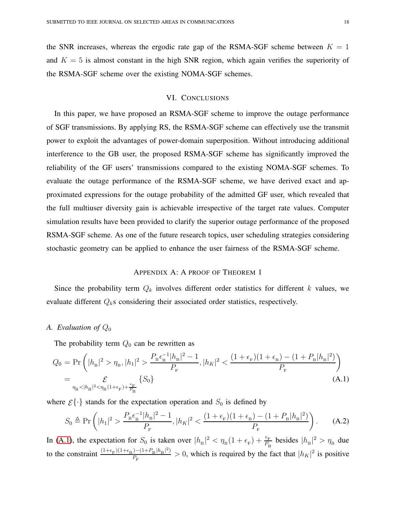the SNR increases, whereas the ergodic rate gap of the RSMA-SGF scheme between  $K = 1$ and  $K = 5$  is almost constant in the high SNR region, which again verifies the superiority of the RSMA-SGF scheme over the existing NOMA-SGF schemes.

#### VI. CONCLUSIONS

In this paper, we have proposed an RSMA-SGF scheme to improve the outage performance of SGF transmissions. By applying RS, the RSMA-SGF scheme can effectively use the transmit power to exploit the advantages of power-domain superposition. Without introducing additional interference to the GB user, the proposed RSMA-SGF scheme has significantly improved the reliability of the GF users' transmissions compared to the existing NOMA-SGF schemes. To evaluate the outage performance of the RSMA-SGF scheme, we have derived exact and approximated expressions for the outage probability of the admitted GF user, which revealed that the full multiuser diversity gain is achievable irrespective of the target rate values. Computer simulation results have been provided to clarify the superior outage performance of the proposed RSMA-SGF scheme. As one of the future research topics, user scheduling strategies considering stochastic geometry can be applied to enhance the user fairness of the RSMA-SGF scheme.

#### APPENDIX A: A PROOF OF THEOREM 1

Since the probability term  $Q_k$  involves different order statistics for different k values, we evaluate different  $Q_k$ s considering their associated order statistics, respectively.

#### *A. Evaluation of* Q<sup>0</sup>

The probability term  $Q_0$  can be rewritten as

$$
Q_0 = \Pr\left(|h_{\rm B}|^2 > \eta_{\rm B}, |h_1|^2 > \frac{P_{\rm B}\epsilon_{\rm B}^{-1}|h_{\rm B}|^2 - 1}{P_{\rm F}}, |h_K|^2 < \frac{(1 + \epsilon_{\rm F})(1 + \epsilon_{\rm B}) - (1 + P_{\rm B}|h_{\rm B}|^2)}{P_{\rm F}}\right)
$$
  
= 
$$
\mathcal{E}_{\eta_{\rm B} < |h_{\rm B}|^2 < \eta_{\rm B}(1 + \epsilon_{\rm F}) + \frac{\epsilon_{\rm F}}{P_{\rm B}}} \{S_0\}
$$
(A.1)

where  $\mathcal{E}\{\cdot\}$  stands for the expectation operation and  $S_0$  is defined by

$$
S_0 \triangleq \Pr\left(|h_1|^2 > \frac{P_{\rm B}\epsilon_{\rm B}^{-1}|h_{\rm B}|^2 - 1}{P_{\rm F}}, |h_K|^2 < \frac{(1 + \epsilon_{\rm F})(1 + \epsilon_{\rm B}) - (1 + P_{\rm B}|h_{\rm B}|^2)}{P_{\rm F}}\right). \tag{A.2}
$$

In [\(A.1\)](#page-26-1), the expectation for  $S_0$  is taken over  $|h_{\rm B}|^2 < \eta_{\rm B}(1+\epsilon_{\rm F}) + \frac{\epsilon_{\rm F}}{P_{\rm B}}$  besides  $|h_{\rm B}|^2 > \eta_{\rm B}$  due to the constraint  $\frac{(1+\epsilon_F)(1+\epsilon_B)-(1+P_B|h_B|^2)}{P}$  $\frac{D - (1 + P_B | h_B |^2)}{P_F} > 0$ , which is required by the fact that  $|h_K|^2$  is positive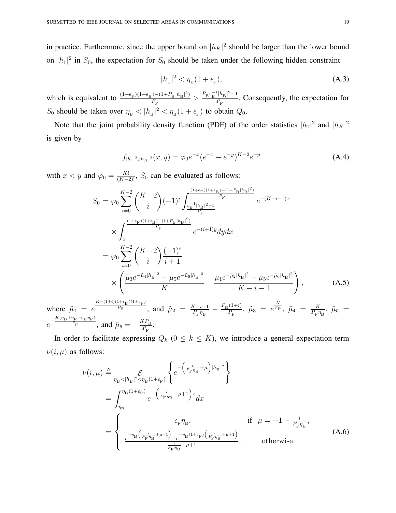in practice. Furthermore, since the upper bound on  $|h_K|^2$  should be larger than the lower bound on  $|h_1|^2$  in  $S_0$ , the expectation for  $S_0$  should be taken under the following hidden constraint

$$
|h_{\mathrm{B}}|^2 < \eta_{\mathrm{B}}(1 + \epsilon_{\mathrm{F}}),\tag{A.3}
$$

which is equivalent to  $\frac{(1+\epsilon_F)(1+\epsilon_B)-(1+P_B|h_B|^2)}{P}$  $\frac{- (1 + P_{\rm B} |h_{\rm B}|^2)}{P_{\rm F}} > \frac{P_{\rm B} \epsilon_{\rm B}^{-1} |h_{\rm B}|^2 - 1}{P_{\rm F}}$  $\frac{p_{\text{B}}+p_{\text{B}}-p_{\text{B}}}{P_{\text{F}}}$ . Consequently, the expectation for  $S_0$  should be taken over  $\eta_{\rm B} < |h_{\rm B}|^2 < \eta_{\rm B} (1 + \epsilon_{\rm F})$  to obtain  $Q_0$ .

Note that the joint probability density function (PDF) of the order statistics  $|h_1|^2$  and  $|h_K|^2$ is given by

$$
f_{|h_1|^2,|h_K|^2}(x,y) = \varphi_0 e^{-x} (e^{-x} - e^{-y})^{K-2} e^{-y}
$$
 (A.4)

with  $x < y$  and  $\varphi_0 = \frac{K!}{(K-2)!}$ ,  $S_0$  can be evaluated as follows:

$$
S_{0} = \varphi_{0} \sum_{i=0}^{K-2} {K-2 \choose i} (-1)^{i} \int_{\frac{\eta_{B}^{-1}|h_{B}|^{2-1}}{P_{F}}}^{\frac{(1+\epsilon_{F})(1+\epsilon_{B})-(1+P_{B}|h_{B}|^{2})}{P_{F}}} e^{-(K-i-1)x}
$$
  
\n
$$
\times \int_{x}^{\frac{(1+\epsilon_{F})(1+\epsilon_{B})-(1+P_{B}|h_{B}|^{2})}{P_{F}}} e^{-(i+1)y} dy dx
$$
  
\n
$$
= \varphi_{0} \sum_{i=0}^{K-2} {K-2 \choose i} \frac{(-1)^{i}}{i+1}
$$
  
\n
$$
\times \left( \frac{\tilde{\mu}_{3} e^{-\tilde{\mu}_{4}|h_{B}|^{2}} - \tilde{\mu}_{5} e^{-\tilde{\mu}_{6}|h_{B}|^{2}}}{K} - \frac{\tilde{\mu}_{1} e^{-\tilde{\mu}_{2}|h_{B}|^{2}} - \tilde{\mu}_{5} e^{-\tilde{\mu}_{6}|h_{B}|^{2}}}{K-i-1} \right),
$$
 (A.5)

where  $\tilde{\mu}_1 = e$  $K-(1+i)(1+\epsilon_B)(1+\epsilon_F)$  $\overline{P_{\rm F}}$ , and  $\tilde{\mu}_2 = \frac{K-i-1}{P_{\rm F}n_{\rm F}}$  $\frac{K-i-1}{P_{\rm F} \eta_{\rm B}} - \frac{P_{\rm B}(1+i)}{P_{\rm F}}$  $\frac{(1+i)}{P_{\rm F}}$ ,  $\tilde{\mu}_3 = e^{\frac{K}{P_{\rm F}}}$ ,  $\tilde{\mu}_4 = \frac{K}{P_{\rm F} \eta}$  $\frac{K}{P_{\rm F} \eta_{\rm B}}$ ,  $\tilde{\mu}_5$  =  $e^{-\frac{K(\eta_{\rm B}+\eta_{\rm F}+\eta_{\rm B}\eta_{\rm F})}{P_{\rm F}}}$  $\frac{P_{\rm F} + P_{\rm B}P_{\rm F}}{P_{\rm F}}$ , and  $\tilde{\mu}_6 = -\frac{KP_{\rm B}}{P_{\rm F}}$  $\frac{P_{\rm T}}{P_{\rm F}}$ .

In order to facilitate expressing  $Q_k$  ( $0 \le k \le K$ ), we introduce a general expectation term  $\nu(i, \mu)$  as follows:

$$
\nu(i,\mu) \triangleq \sum_{\eta_{\rm B} < |h_{\rm B}|^2 < \eta_{\rm B}(1+\epsilon_{\rm F})} \left\{ e^{-\left(\frac{i}{P_{\rm F} \eta_{\rm B}} + \mu\right) |h_{\rm B}|^2} \right\}
$$
\n
$$
= \int_{\eta_{\rm B}}^{\eta_{\rm B}(1+\epsilon_{\rm F})} e^{-\left(\frac{i}{P_{\rm F} \eta_{\rm B}} + \mu + 1\right)x} dx
$$
\n
$$
= \begin{cases}\n\epsilon_{\rm F} \eta_{\rm B}, & \text{if } \mu = -1 - \frac{i}{P_{\rm F} \eta_{\rm B}}, \\
\frac{e^{-\eta_{\rm B}\left(\frac{i}{P_{\rm F} \eta_{\rm B}} + \mu + 1\right)} - e^{-\eta_{\rm B}(1+\epsilon_{\rm F})\left(\frac{i}{P_{\rm F} \eta_{\rm B}} + \mu + 1\right)}}{\frac{i}{P_{\rm F} \eta_{\rm B}} + \mu + 1}, & \text{otherwise.}\n\end{cases} (A.6)
$$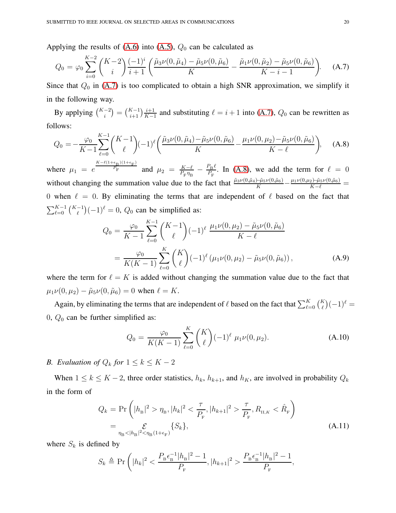Applying the results of  $(A.6)$  into  $(A.5)$ ,  $Q_0$  can be calculated as

$$
Q_0 = \varphi_0 \sum_{i=0}^{K-2} {K-2 \choose i} \frac{(-1)^i}{i+1} \left( \frac{\tilde{\mu}_3 \nu(0, \tilde{\mu}_4) - \tilde{\mu}_5 \nu(0, \tilde{\mu}_6)}{K} - \frac{\tilde{\mu}_1 \nu(0, \tilde{\mu}_2) - \tilde{\mu}_5 \nu(0, \tilde{\mu}_6)}{K - i - 1} \right). \tag{A.7}
$$

Since that  $Q_0$  in [\(A.7\)](#page-24-1) is too complicated to obtain a high SNR approximation, we simplify it in the following way.

By applying  $\binom{K-2}{i} = \binom{K-1}{i+1} \frac{i+1}{K-1}$  $\frac{i+1}{K-1}$  and substituting  $\ell = i+1$  into [\(A.7\)](#page-24-1),  $Q_0$  can be rewritten as follows:

$$
Q_0 = -\frac{\varphi_0}{K-1} \sum_{\ell=0}^{K-1} {K-1 \choose \ell} (-1)^{\ell} \left( \frac{\tilde{\mu}_3 \nu(0, \tilde{\mu}_4) - \tilde{\mu}_5 \nu(0, \tilde{\mu}_6)}{K} - \frac{\mu_1 \nu(0, \mu_2) - \tilde{\mu}_5 \nu(0, \tilde{\mu}_6)}{K - \ell} \right), \quad (A.8)
$$

where  $\mu_1 = e$  $K-\ell(1+\epsilon_B)(1+\epsilon_F)$  $\frac{P_{\rm F}}{P_{\rm F}}$  and  $\mu_2 = \frac{K-\ell}{P_{\rm F}n_{\rm F}}$  $\frac{K-\ell}{P_{\rm F}\eta_{\rm B}}-\frac{P_{\rm B}\ell}{P_{\rm F}}$  $\frac{P_{\rm B}t}{P_{\rm F}}$ . In [\(A.8\)](#page-24-2), we add the term for  $\ell = 0$ without changing the summation value due to the fact that  $\frac{\tilde{\mu}_3 \nu(0,\tilde{\mu}_6) - \tilde{\mu}_5 \nu(0,\tilde{\mu}_6)}{K} - \frac{\mu_1 \nu(0,\mu_2) - \tilde{\mu}_5 \nu(0,\tilde{\mu}_6)}{K-\ell} =$ 0 when  $\ell = 0$ . By eliminating the terms that are independent of  $\ell$  based on the fact that  $\sum_{\ell=0}^{K-1} {\binom{K-1}{\ell}} (-1)^{\ell} = 0$ ,  $Q_0$  can be simplified as:

$$
Q_0 = \frac{\varphi_0}{K-1} \sum_{\ell=0}^{K-1} {K-1 \choose \ell} (-1)^{\ell} \frac{\mu_1 \nu(0, \mu_2) - \tilde{\mu}_5 \nu(0, \tilde{\mu}_6)}{K-\ell}
$$
  
= 
$$
\frac{\varphi_0}{K(K-1)} \sum_{\ell=0}^{K} {K \choose \ell} (-1)^{\ell} (\mu_1 \nu(0, \mu_2) - \tilde{\mu}_5 \nu(0, \tilde{\mu}_6)),
$$
 (A.9)

where the term for  $\ell = K$  is added without changing the summation value due to the fact that  $\mu_1 \nu(0, \mu_2) - \tilde{\mu}_5 \nu(0, \tilde{\mu}_6) = 0$  when  $\ell = K$ .

Again, by eliminating the terms that are independent of  $\ell$  based on the fact that  $\sum_{\ell=0}^{K} {K \choose \ell} (-1)^{\ell}$ 0,  $Q_0$  can be further simplified as:

$$
Q_0 = \frac{\varphi_0}{K(K-1)} \sum_{\ell=0}^K {K \choose \ell} (-1)^{\ell} \mu_1 \nu(0, \mu_2).
$$
 (A.10)

*B. Evaluation of*  $Q_k$  *for*  $1 \leq k \leq K - 2$ 

When  $1 \le k \le K - 2$ , three order statistics,  $h_k$ ,  $h_{k+1}$ , and  $h_K$ , are involved in probability  $Q_k$ in the form of

$$
Q_k = \Pr\left(|h_{\rm B}|^2 > \eta_{\rm B}, |h_k|^2 < \frac{\tau}{P_{\rm F}}, |h_{k+1}|^2 > \frac{\tau}{P_{\rm F}}, R_{\rm II,K} < \hat{R}_{\rm F}\right)
$$
  
= 
$$
\sum_{\eta_{\rm B} < |h_{\rm B}|^2 < \eta_{\rm B}(1 + \epsilon_{\rm F})} \{S_k\},
$$
 (A.11)

where  $S_k$  is defined by

$$
S_k \triangleq \Pr \bigg( |h_k|^2 < \frac{P_{\rm B} \epsilon_{\rm B}^{-1} |h_{\rm B}|^2 - 1}{P_{\rm F}}, |h_{k+1}|^2 > \frac{P_{\rm B} \epsilon_{\rm B}^{-1} |h_{\rm B}|^2 - 1}{P_{\rm F}},
$$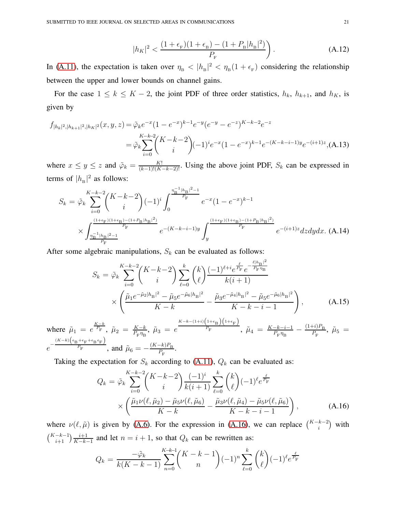$$
|h_K|^2 < \frac{(1 + \epsilon_{\rm F})(1 + \epsilon_{\rm B}) - (1 + P_{\rm B}|h_{\rm B}|^2)}{P_{\rm F}} \tag{A.12}
$$

In [\(A.11\)](#page-25-0), the expectation is taken over  $\eta_{\rm B} < |h_{\rm B}|^2 < \eta_{\rm B} (1 + \epsilon_{\rm F})$  considering the relationship between the upper and lower bounds on channel gains.

For the case  $1 \le k \le K - 2$ , the joint PDF of three order statistics,  $h_k$ ,  $h_{k+1}$ , and  $h_K$ , is given by

$$
f_{|h_k|^2,|h_{k+1}|^2,|h_K|^2}(x,y,z) = \tilde{\varphi}_k e^{-x} (1 - e^{-x})^{k-1} e^{-y} (e^{-y} - e^{-z})^{K-k-2} e^{-z}
$$
  

$$
= \tilde{\varphi}_k \sum_{i=0}^{K-k-2} {K-k-2 \choose i} (-1)^i e^{-x} (1 - e^{-x})^{k-1} e^{-(K-k-i-1)y} e^{-(i+1)z}, \text{(A.13)}
$$

where  $x \leq y \leq z$  and  $\tilde{\varphi}_k = \frac{K!}{(k-1)!(K-k-2)!}$ . Using the above joint PDF,  $S_k$  can be expressed in terms of  $|h_{\rm B}|^2$  as follows:

$$
S_k = \tilde{\varphi}_k \sum_{i=0}^{K-k-2} \binom{K-k-2}{i} (-1)^i \int_0^{\frac{\eta_{\rm B}^{-1} |h_{\rm B}|^2 - 1}{P_{\rm F}}} e^{-x} (1 - e^{-x})^{k-1}
$$
  
 
$$
\times \int_{\frac{\eta_{\rm B}^{-1} |h_{\rm B}|^2 - 1}{P_{\rm F}}}^{\frac{(1+\epsilon_{\rm F})(1+\epsilon_{\rm B}) - (1+P_{\rm B}|h_{\rm B}|^2)}{P_{\rm F}}} e^{-(K-k-i-1)y} \int_y^{\frac{(1+\epsilon_{\rm F})(1+\epsilon_{\rm B}) - (1+P_{\rm B}|h_{\rm B}|^2)}{P_{\rm F}}} e^{-(i+1)z} dz dy dx. \text{ (A.14)}
$$

After some algebraic manipulations,  $S_k$  can be evaluated as follows:

$$
S_k = \tilde{\varphi}_k \sum_{i=0}^{K-k-2} \binom{K-k-2}{i} \sum_{\ell=0}^k \binom{k}{\ell} \frac{(-1)^{\ell+i} e^{\frac{\ell}{P_{\rm F}}} e^{-\frac{\ell |h_{\rm B}|^2}{P_{\rm F} \eta_{\rm B}}}}{k(i+1)} \times \left( \frac{\tilde{\mu}_1 e^{-\tilde{\mu}_2 |h_{\rm B}|^2} - \tilde{\mu}_5 e^{-\tilde{\mu}_6 |h_{\rm B}|^2}}{K-k} - \frac{\tilde{\mu}_3 e^{-\tilde{\mu}_4 |h_{\rm B}|^2} - \tilde{\mu}_5 e^{-\tilde{\mu}_6 |h_{\rm B}|^2}}{K-k-i-1} \right), \tag{A.15}
$$

where  $\tilde{\mu}_1 = e^{\frac{K-k}{P_{\rm F}}}$ ,  $\tilde{\mu}_2 = \frac{K-k}{P_{\rm F}n_{\rm F}}$  $\frac{K-k}{P_{\rm F} \eta_{\rm B}}$ ,  $\tilde{\mu}_3 = e$  $K-k-(1+i)\left(1+\epsilon_{\text{B}}\right)\left(1+\epsilon_{\text{F}}\right)$  $\tilde{\mu}_F$ ,  $\tilde{\mu}_4 = \frac{K-k-i-1}{P_{\rm m}}$  $\frac{-k-i-1}{P_{\text{F}}\eta_{\text{B}}} - \frac{(1+i)P_{\text{B}}}{P_{\text{F}}}$  $\frac{F^{tJ}F_{\rm B}}{P_{\rm F}},\ \tilde{\mu}_5 =$  $e^{-\frac{(K-k)\left(\epsilon_{\text{B}}+\epsilon_{\text{F}}+\epsilon_{\text{B}}\epsilon_{\text{F}}\right)}{P_{\text{F}}}}$  $\frac{P_{\text{F}}}{P_{\text{F}}}$ , and  $\tilde{\mu}_6 = -\frac{(K-k)P_{\text{B}}}{P_{\text{B}}}$  $\frac{-\kappa_f r_{\rm B}}{P_{\rm F}}$ .

Taking the expectation for  $S_k$  according to [\(A.11\)](#page-25-0),  $Q_k$  can be evaluated as:

<span id="page-20-0"></span>
$$
Q_k = \tilde{\varphi}_k \sum_{i=0}^{K-k-2} {K-k-2 \choose i} \frac{(-1)^i}{k(i+1)} \sum_{\ell=0}^k {k \choose \ell} (-1)^{\ell} e^{\frac{\ell}{P_{\rm F}}} \times \left( \frac{\tilde{\mu}_1 \nu(\ell, \tilde{\mu}_2) - \tilde{\mu}_5 \nu(\ell, \tilde{\mu}_6)}{K-k} - \frac{\tilde{\mu}_3 \nu(\ell, \tilde{\mu}_4) - \tilde{\mu}_5 \nu(\ell, \tilde{\mu}_6)}{K-k-i-1} \right),
$$
 (A.16)

where  $\nu(\ell, \tilde{\mu})$  is given by [\(A.6\)](#page-24-0). For the expression in [\(A.16\)](#page-20-0), we can replace  $\binom{K-k-2}{i}$  with  $\binom{K-k-1}{i+1} \frac{i+1}{K-k}$  $\frac{i+1}{K-k-1}$  and let  $n = i + 1$ , so that  $Q_k$  can be rewritten as:

<span id="page-20-1"></span>
$$
Q_k = \frac{-\tilde{\varphi}_k}{k(K-k-1)} \sum_{n=0}^{K-k-1} {K-k-1 \choose n} (-1)^n \sum_{\ell=0}^k {k \choose \ell} (-1)^{\ell} e^{\frac{\ell}{P_{\rm F}}}
$$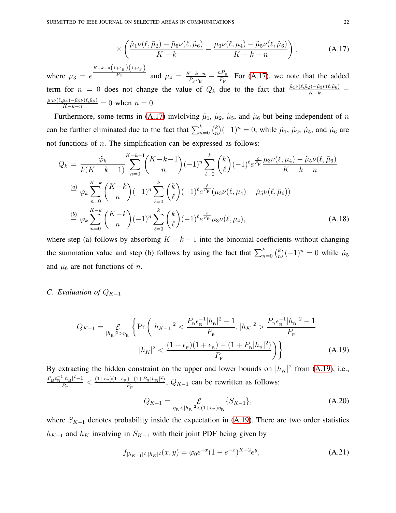$$
\times \left( \frac{\tilde{\mu}_1 \nu(\ell, \tilde{\mu}_2) - \tilde{\mu}_5 \nu(\ell, \tilde{\mu}_6)}{K - k} - \frac{\mu_3 \nu(\ell, \mu_4) - \tilde{\mu}_5 \nu(\ell, \tilde{\mu}_6)}{K - k - n} \right), \tag{A.17}
$$

where  $\mu_3 = e$  $K-k-n\left(1+\epsilon_{\text{B}}\right)\left(1+\epsilon_{\text{F}}\right)$  $\frac{P_{\rm F}}{P_{\rm F}}$  and  $\mu_4 = \frac{K-k-n}{P_{\rm F}n_{\rm F}}$  $\frac{K-k-n}{P_{\rm F}\eta_{\rm B}}-\frac{nP_{\rm B}}{P_{\rm F}}$  $\frac{P_{\rm B}}{P_{\rm F}}$ . For [\(A.17\)](#page-20-1), we note that the added term for  $n = 0$  does not change the value of  $Q_k$  due to the fact that  $\frac{\tilde{\mu}_1\nu(\ell,\tilde{\mu}_2) - \tilde{\mu}_5\nu(\ell,\tilde{\mu}_6)}{K-k}$  $\frac{\mu_3 \nu(\ell, \mu_4) - \tilde{\mu}_5 \nu(\ell, \tilde{\mu}_6)}{K - k - n} = 0$  when  $n = 0$ .

Furthermore, some terms in [\(A.17\)](#page-20-1) invlolving  $\tilde{\mu}_1$ ,  $\tilde{\mu}_2$ ,  $\tilde{\mu}_5$ , and  $\tilde{\mu}_6$  but being independent of n can be further eliminated due to the fact that  $\sum_{n=0}^{k} {k \choose n}$  $\tilde{h}_n^k$  $(-1)^n = 0$ , while  $\tilde{\mu}_1$ ,  $\tilde{\mu}_2$ ,  $\tilde{\mu}_5$ , and  $\tilde{\mu}_6$  are not functions of  $n$ . The simplification can be expressed as follows:

$$
Q_k = \frac{\tilde{\varphi}_k}{k(K-k-1)} \sum_{n=0}^{K-k-1} {K-k-1 \choose n} (-1)^n \sum_{\ell=0}^k {k \choose \ell} (-1)^{\ell} e^{\frac{\ell}{P_{\rm F}}} \frac{\mu_3 \nu(\ell, \mu_4) - \tilde{\mu}_5 \nu(\ell, \tilde{\mu}_6)}{K-k-n}
$$
  
\n
$$
\stackrel{(a)}{=} \varphi_k \sum_{n=0}^{K-k} {K-k \choose n} (-1)^n \sum_{\ell=0}^k {k \choose \ell} (-1)^{\ell} e^{\frac{\ell}{P_{\rm F}}} (\mu_3 \nu(\ell, \mu_4) - \tilde{\mu}_5 \nu(\ell, \tilde{\mu}_6))
$$
  
\n
$$
\stackrel{(b)}{=} \varphi_k \sum_{n=0}^{K-k} {K-k \choose n} (-1)^n \sum_{\ell=0}^k {k \choose \ell} (-1)^{\ell} e^{\frac{\ell}{P_{\rm F}}} \mu_3 \nu(\ell, \mu_4), \qquad (A.18)
$$

where step (a) follows by absorbing  $K - k - 1$  into the binomial coefficients without changing the summation value and step (b) follows by using the fact that  $\sum_{n=0}^{k} {k \choose n}$  $\binom{k}{n}(-1)^n = 0$  while  $\tilde{\mu}_5$ and  $\tilde{\mu}_6$  are not functions of *n*.

#### *C. Evaluation of*  $Q_{K-1}$

<span id="page-21-0"></span>
$$
Q_{K-1} = \mathcal{E}_{|h_{\rm B}|^2 > \eta_{\rm B}} \left\{ \Pr\left( |h_{K-1}|^2 < \frac{P_{\rm B} \epsilon_{\rm B}^{-1} |h_{\rm B}|^2 - 1}{P_{\rm F}}, |h_K|^2 > \frac{P_{\rm B} \epsilon_{\rm B}^{-1} |h_{\rm B}|^2 - 1}{P_{\rm F}} \right. \right.\n|h_K|^2 < \frac{(1 + \epsilon_{\rm F})(1 + \epsilon_{\rm B}) - (1 + P_{\rm B}|h_{\rm B}|^2)}{P_{\rm F}} \right\} \tag{A.19}
$$

By extracting the hidden constraint on the upper and lower bounds on  $|h_K|^2$  from [\(A.19\)](#page-21-0), i.e.,  $P_{\rm B} \epsilon_{\rm B}^{-1} |h_{\rm B}|^2 - 1$  $\frac{|h_{\rm B}|^2-1}{P_{\rm F}} < \frac{(1+\epsilon_{\rm F})(1+\epsilon_{\rm B})-(1+P_{\rm B}|h_{\rm B}|^2)}{P_{\rm F}}$  $\frac{p_{\text{F}} - (1 + F_{\text{B}}/n_{\text{B}})}{P_{\text{F}}}$ ,  $Q_{K-1}$  can be rewritten as follows:

$$
Q_{K-1} = \mathcal{E}_{\eta_{\rm B} < |h_{\rm B}|^2 < (1 + \epsilon_{\rm F})\eta_{\rm B}} \{ S_{K-1} \},\tag{A.20}
$$

where  $S_{K-1}$  denotes probability inside the expectation in [\(A.19\)](#page-21-0). There are two order statistics  $h_{K-1}$  and  $h_K$  involving in  $S_{K-1}$  with their joint PDF being given by

$$
f_{|h_{K-1}|^2,|h_K|^2}(x,y) = \varphi_0 e^{-x} (1 - e^{-x})^{K-2} e^y,
$$
\n(A.21)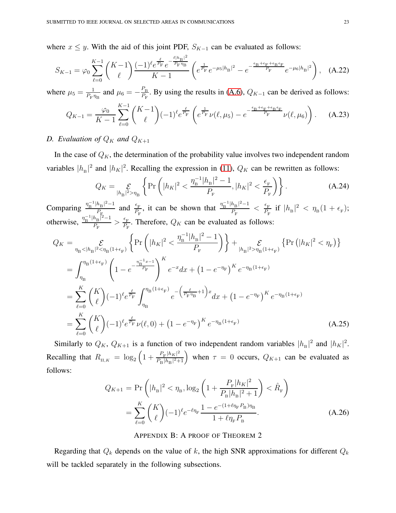where  $x \leq y$ . With the aid of this joint PDF,  $S_{K-1}$  can be evaluated as follows:

$$
S_{K-1} = \varphi_0 \sum_{\ell=0}^{K-1} {K-1 \choose \ell} \frac{(-1)^{\ell} e^{\frac{\ell}{P_{\rm F}}} e^{-\frac{\ell |h_{\rm B}|^2}{P_{\rm F} \eta_{\rm B}}}}{K-1} \left( e^{\frac{1}{P_{\rm F}}} e^{-\mu_5 |h_{\rm B}|^2} - e^{-\frac{\epsilon_{\rm B} + \epsilon_{\rm F} + \epsilon_{\rm B} \epsilon_{\rm F}}{P_{\rm F}}} e^{-\mu_6 |h_{\rm B}|^2} \right), \quad \text{(A.22)}
$$

where  $\mu_5 = \frac{1}{P_{-1}}$  $\frac{1}{P_{\rm F} \eta_{\rm B}}$  and  $\mu_6 = -\frac{P_{\rm B}}{P_{\rm F}}$  $\frac{P_{\rm B}}{P_{\rm F}}$ . By using the results in [\(A.6\)](#page-24-0),  $Q_{K-1}$  can be derived as follows:

$$
Q_{K-1} = \frac{\varphi_0}{K-1} \sum_{\ell=0}^{K-1} {K-1 \choose \ell} (-1)^{\ell} e^{\frac{\ell}{P_{\rm F}}} \left( e^{\frac{1}{P_{\rm F}}} \nu(\ell, \mu_5) - e^{-\frac{\epsilon_{\rm B} + \epsilon_{\rm F} + \epsilon_{\rm B} \epsilon_{\rm F}}{P_{\rm F}}} \nu(\ell, \mu_6) \right). \tag{A.23}
$$

### *D.* Evaluation of  $Q_K$  and  $Q_{K+1}$

In the case of  $Q_K$ , the determination of the probability value involves two independent random variables  $|h_{\rm B}|^2$  and  $|h_K|^2$ . Recalling the expression in [\(11\)](#page-9-0),  $Q_K$  can be rewritten as follows:

$$
Q_K = \mathcal{E}_{|h_{\rm B}|^2 > \eta_{\rm B}} \left\{ \Pr\left( |h_K|^2 < \frac{\eta_{\rm B}^{-1} |h_{\rm B}|^2 - 1}{P_{\rm F}}, |h_K|^2 < \frac{\epsilon_{\rm F}}{P_{\rm F}} \right) \right\}.
$$
\n(A.24)

Comparing  $\frac{\eta_{\rm B}^{-1} |h_{\rm B}|^2 - 1}{P}$  $\frac{h_{\rm B}^2}{P_{\rm E}}$  and  $\frac{\epsilon_{\rm F}}{P_{\rm F}}$ , it can be shown that  $\frac{\eta_{\rm B}^{-1} |h_{\rm B}|^2 - 1}{P_{\rm F}}$  $\frac{h_{\rm B}|^2-1}{P_{\rm F}} < \frac{\epsilon_{\rm F}}{P_{\rm F}}$  $\frac{\epsilon_{\rm F}}{P_{\rm F}}$  if  $|h_{\rm B}|^2 < \eta_{\rm B}(1+\epsilon_{\rm F});$ otherwise,  $\frac{\eta_{\rm B}^{-1} |h_{\rm B}|^2 - 1}{P}$  $\frac{h_{\rm B}|^2-1}{P_{\rm F}} > \frac{\epsilon_{\rm F}}{P_{\rm F}}$  $\frac{e_F}{P_F}$ . Therefore,  $Q_K$  can be evaluated as follows:

$$
Q_{K} = \sum_{\eta_{\text{B}} < |h_{\text{B}}|^{2} < \eta_{\text{B}}(1+\epsilon_{\text{F}})} \left\{ \Pr\left( |h_{K}|^{2} < \frac{\eta_{\text{B}}^{-1} |h_{\text{B}}|^{2} - 1}{P_{\text{F}}} \right) \right\} + \sum_{|h_{\text{B}}|^{2} > \eta_{\text{B}}(1+\epsilon_{\text{F}})} \left\{ \Pr\left( |h_{K}|^{2} < \eta_{\text{F}} \right) \right\}
$$
  
\n
$$
= \int_{\eta_{\text{B}}}^{\eta_{\text{B}}(1+\epsilon_{\text{F}})} \left( 1 - e^{-\frac{\eta_{\text{B}}^{-1} x - 1}{P_{\text{F}}}} \right)^{K} e^{-x} dx + \left( 1 - e^{-\eta_{\text{F}}} \right)^{K} e^{-\eta_{\text{B}}(1+\epsilon_{\text{F}})}
$$
  
\n
$$
= \sum_{\ell=0}^{K} {K \choose \ell} (-1)^{\ell} e^{\frac{\ell}{P_{\text{F}}}} \int_{\eta_{\text{B}}}^{\eta_{\text{B}}(1+\epsilon_{\text{F}})} e^{-\left(\frac{\ell}{P_{\text{F}} \eta_{\text{B}}} + 1\right) x} dx + \left( 1 - e^{-\eta_{\text{F}}} \right)^{K} e^{-\eta_{\text{B}}(1+\epsilon_{\text{F}})}
$$
  
\n
$$
= \sum_{\ell=0}^{K} {K \choose \ell} (-1)^{\ell} e^{\frac{\ell}{P_{\text{F}}} \nu(\ell, 0)} + \left( 1 - e^{-\eta_{\text{F}}} \right)^{K} e^{-\eta_{\text{B}}(1+\epsilon_{\text{F}})}
$$
(A.25)

Similarly to  $Q_K$ ,  $Q_{K+1}$  is a function of two independent random variables  $|h_{\rm B}|^2$  and  $|h_K|^2$ . Recalling that  $R_{\text{II},K} = \log_2 \left( 1 + \frac{P_{\text{F}} |h_K|^2}{P_{\text{D}} |h_{\text{D}}|^2} \right)$  $\frac{P_{\rm F}|h_K|^2}{P_{\rm B}|h_{\rm B}|^2+1}$  when  $\tau = 0$  occurs,  $Q_{K+1}$  can be evaluated as follows:

$$
Q_{K+1} = \Pr\left(|h_{\rm B}|^2 < \eta_{\rm B}, \log_2\left(1 + \frac{P_{\rm F}|h_K|^2}{P_{\rm B}|h_{\rm B}|^2 + 1}\right) < \hat{R}_{\rm F}\right)
$$
\n
$$
= \sum_{\ell=0}^{K} \binom{K}{\ell} (-1)^{\ell} e^{-\ell \eta_{\rm F}} \frac{1 - e^{-(1 + \ell \eta_{\rm F} P_{\rm B}) \eta_{\rm B}}}{1 + \ell \eta_{\rm F} P_{\rm B}}.\tag{A.26}
$$

#### APPENDIX B: A PROOF OF THEOREM 2

Regarding that  $Q_k$  depends on the value of k, the high SNR approximations for different  $Q_k$ will be tackled separately in the following subsections.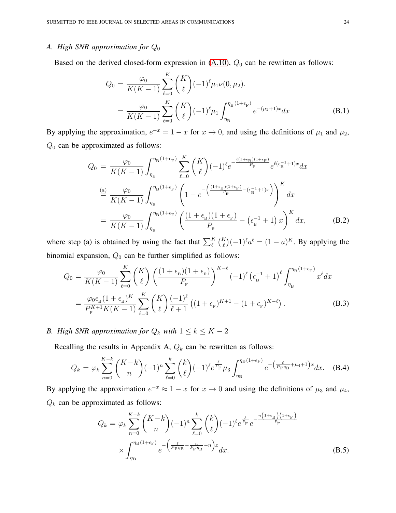## *A. High SNR approximation for* Q<sup>0</sup>

Based on the derived closed-form expression in  $(A.10)$ ,  $Q_0$  can be rewritten as follows:

$$
Q_0 = \frac{\varphi_0}{K(K-1)} \sum_{\ell=0}^K {K \choose \ell} (-1)^{\ell} \mu_1 \nu(0, \mu_2).
$$
  
= 
$$
\frac{\varphi_0}{K(K-1)} \sum_{\ell=0}^K {K \choose \ell} (-1)^{\ell} \mu_1 \int_{\eta_{\text{B}}}^{\eta_{\text{B}}(1+\epsilon_{\text{F}})} e^{-(\mu_2+1)x} dx
$$
 (B.1)

By applying the approximation,  $e^{-x} = 1 - x$  for  $x \to 0$ , and using the definitions of  $\mu_1$  and  $\mu_2$ ,  $Q_0$  can be approximated as follows:

$$
Q_0 = \frac{\varphi_0}{K(K-1)} \int_{\eta_{\rm B}}^{\eta_{\rm B}(1+\epsilon_{\rm F})} \sum_{\ell=0}^K \binom{K}{\ell} (-1)^{\ell} e^{-\frac{\ell(1+\epsilon_{\rm B})(1+\epsilon_{\rm F})}{P_{\rm F}}} e^{\ell(\epsilon_{\rm B}^{-1}+1)x} dx
$$
  

$$
\stackrel{(a)}{=} \frac{\varphi_0}{K(K-1)} \int_{\eta_{\rm B}}^{\eta_{\rm B}(1+\epsilon_{\rm F})} \left(1 - e^{-\left(\frac{(1+\epsilon_{\rm B})(1+\epsilon_{\rm F})}{P_{\rm F}} - (\epsilon_{\rm B}^{-1}+1)x\right)}\right)^K dx
$$
  

$$
= \frac{\varphi_0}{K(K-1)} \int_{\eta_{\rm B}}^{\eta_{\rm B}(1+\epsilon_{\rm F})} \left(\frac{(1+\epsilon_{\rm B})(1+\epsilon_{\rm F})}{P_{\rm F}} - (\epsilon_{\rm B}^{-1}+1)x\right)^K dx,
$$
 (B.2)

where step (a) is obtained by using the fact that  $\sum_{\ell}^{K} {K \choose \ell} (-1)^{\ell} a^{\ell} = (1 - a)^{K}$ . By applying the binomial expansion,  $Q_0$  can be further simplified as follows:

$$
Q_0 = \frac{\varphi_0}{K(K-1)} \sum_{\ell=0}^K \binom{K}{\ell} \left(\frac{(1+\epsilon_{\rm B})(1+\epsilon_{\rm F})}{P_{\rm F}}\right)^{K-\ell} (-1)^{\ell} \left(\epsilon_{\rm B}^{-1}+1\right)^{\ell} \int_{\eta_{\rm B}}^{\eta_{\rm B}(1+\epsilon_{\rm F})} x^{\ell} dx
$$
  
= 
$$
\frac{\varphi_0 \epsilon_{\rm B} (1+\epsilon_{\rm B})^K}{P_{\rm F}^{K+1} K(K-1)} \sum_{\ell=0}^K \binom{K}{\ell} \frac{(-1)^{\ell}}{\ell+1} \left((1+\epsilon_{\rm F})^{K+1}-(1+\epsilon_{\rm F})^{K-\ell}\right).
$$
(B.3)

*B. High SNR approximation for*  $Q_k$  *with*  $1 \leq k \leq K - 2$ 

Recalling the results in Appendix A,  $Q_k$  can be rewritten as follows:

$$
Q_k = \varphi_k \sum_{n=0}^{K-k} \binom{K-k}{n} (-1)^n \sum_{\ell=0}^k \binom{k}{\ell} (-1)^{\ell} e^{\frac{\ell}{P_{\rm F}}} \mu_3 \int_{\eta_{\rm B}}^{\eta_{\rm B}(1+\epsilon_{\rm F})} e^{-\left(\frac{\ell}{P_{\rm F}\eta_{\rm B}} + \mu_4 + 1\right)x} dx. \tag{B.4}
$$

By applying the approximation  $e^{-x} \approx 1 - x$  for  $x \to 0$  and using the definitions of  $\mu_3$  and  $\mu_4$ ,  $Q_k$  can be approximated as follows:

<span id="page-23-0"></span>
$$
Q_k = \varphi_k \sum_{n=0}^{K-k} {K-k \choose n} (-1)^n \sum_{\ell=0}^k {k \choose \ell} (-1)^{\ell} e^{\frac{\ell}{P_{\rm F}}} e^{-\frac{n(1+\epsilon_{\rm B})(1+\epsilon_{\rm F})}{P_{\rm F}}} \times \int_{\eta_{\rm B}}^{\eta_{\rm B}(1+\epsilon_{\rm F})} e^{-\left(\frac{\ell}{P_{\rm F}\eta_{\rm B}} - \frac{n}{P_{\rm F}\eta_{\rm B}} - n\right)x} dx.
$$
\n(B.5)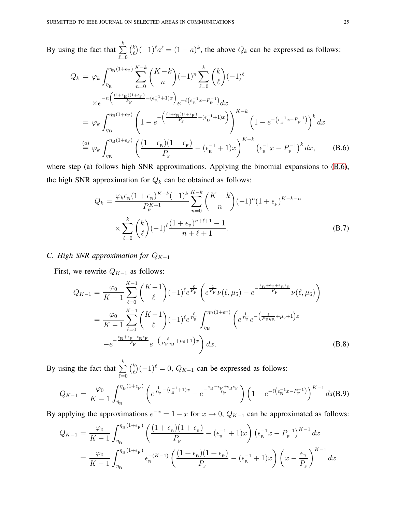By using the fact that  $\sum_{k=1}^{k}$  $_{\ell=0}$  $\binom{k}{a}$  $\binom{k}{\ell}(-1)^{\ell}a^{\ell} = (1-a)^{k}$ , the above  $Q_{k}$  can be expressed as follows:

<span id="page-24-0"></span>
$$
Q_{k} = \varphi_{k} \int_{\eta_{B}}^{\eta_{B}(1+\epsilon_{F})} \sum_{n=0}^{K-k} {K-k \choose n} (-1)^{n} \sum_{\ell=0}^{k} {k \choose \ell} (-1)^{\ell}
$$
  
\n
$$
\times e^{-n \left(\frac{(1+\epsilon_{B})(1+\epsilon_{F})}{P_{F}} - (\epsilon_{B}^{-1}+1)x\right)} e^{-\ell(\epsilon_{B}^{-1}x - P_{F}^{-1})} dx
$$
  
\n
$$
= \varphi_{k} \int_{\eta_{B}}^{\eta_{B}(1+\epsilon_{F})} \left(1 - e^{-\left(\frac{(1+\epsilon_{B})(1+\epsilon_{F})}{P_{F}} - (\epsilon_{B}^{-1}+1)x\right)}\right)^{K-k} \left(1 - e^{-\left(\epsilon_{B}^{-1}x - P_{F}^{-1}\right)}\right)^{k} dx
$$
  
\n
$$
\stackrel{(a)}{=} \varphi_{k} \int_{\eta_{B}}^{\eta_{B}(1+\epsilon_{F})} \left(\frac{(1+\epsilon_{B})(1+\epsilon_{F})}{P_{F}} - (\epsilon_{B}^{-1}+1)x\right)^{K-k} (\epsilon_{B}^{-1}x - P_{F}^{-1})^{k} dx, \quad (B.6)
$$

where step (a) follows high SNR approximations. Applying the binomial expansions to  $(B.6)$ , the high SNR approximation for  $Q_k$  can be obtained as follows:

<span id="page-24-1"></span>
$$
Q_k = \frac{\varphi_k \epsilon_{\rm B} (1 + \epsilon_{\rm B})^{K-k} (-1)^k}{P_{\rm F}^{K+1}} \sum_{n=0}^{K-k} {K-k \choose n} (-1)^n (1 + \epsilon_{\rm F})^{K-k-n}
$$

$$
\times \sum_{\ell=0}^k {k \choose \ell} (-1)^{\ell} \frac{(1 + \epsilon_{\rm F})^{n+\ell+1} - 1}{n+\ell+1}.
$$
(B.7)

# *C. High SNR approximation for*  $Q_{K-1}$

First, we rewrite  $Q_{K-1}$  as follows:

<span id="page-24-2"></span>
$$
Q_{K-1} = \frac{\varphi_0}{K-1} \sum_{\ell=0}^{K-1} {K-1 \choose \ell} (-1)^{\ell} e^{\frac{\ell}{P_{\rm F}}} \left( e^{\frac{1}{P_{\rm F}}} \nu(\ell, \mu_5) - e^{-\frac{\epsilon_{\rm B} + \epsilon_{\rm F} + \epsilon_{\rm B} \epsilon_{\rm F}}{P_{\rm F}}} \nu(\ell, \mu_6) \right)
$$
  

$$
= \frac{\varphi_0}{K-1} \sum_{\ell=0}^{K-1} {K-1 \choose \ell} (-1)^{\ell} e^{\frac{\ell}{P_{\rm F}}} \int_{\eta_{\rm B}}^{\eta_{\rm B}(1+\epsilon_{\rm F})} \left( e^{\frac{1}{P_{\rm F}}} e^{-\left(\frac{\ell}{P_{\rm F} \eta_{\rm B}} + \mu_5 + 1\right)x} - e^{-\frac{\epsilon_{\rm B} + \epsilon_{\rm F} + \epsilon_{\rm B} \epsilon_{\rm F}}{P_{\rm F}}} e^{-\left(\frac{\ell}{P_{\rm F} \eta_{\rm B}} + \mu_6 + 1\right)x} \right) dx.
$$
 (B.8)

By using the fact that  $\sum_{k=1}^{k}$  $_{\ell=0}$  $\binom{k}{a}$  $\binom{k}{\ell}(-1)^{\ell} = 0$ ,  $Q_{K-1}$  can be expressed as follows:

$$
Q_{K-1} = \frac{\varphi_0}{K-1} \int_{\eta_{\rm B}}^{\eta_{\rm B}(1+\epsilon_{\rm F})} \left( e^{\frac{1}{P_{\rm F}} - (\epsilon_{\rm B}^{-1}+1)x} - e^{-\frac{\epsilon_{\rm B}+\epsilon_{\rm F}+\epsilon_{\rm B}\epsilon_{\rm F}}{P_{\rm F}}} \right) \left( 1 - e^{-\ell \left( \epsilon_{\rm B}^{-1}x - P_{\rm F}^{-1} \right)} \right)^{K-1} dx
$$
(B.9)

By applying the approximations  $e^{-x} = 1 - x$  for  $x \to 0$ ,  $Q_{K-1}$  can be approximated as follows:

<span id="page-24-3"></span>
$$
Q_{K-1} = \frac{\varphi_0}{K-1} \int_{\eta_{\rm B}}^{\eta_{\rm B}(1+\epsilon_{\rm F})} \left( \frac{(1+\epsilon_{\rm B})(1+\epsilon_{\rm F})}{P_{\rm F}} - (\epsilon_{\rm B}^{-1}+1)x \right) (\epsilon_{\rm B}^{-1}x - P_{\rm F}^{-1})^{K-1} dx
$$
  
= 
$$
\frac{\varphi_0}{K-1} \int_{\eta_{\rm B}}^{\eta_{\rm B}(1+\epsilon_{\rm F})} \epsilon_{\rm B}^{-(K-1)} \left( \frac{(1+\epsilon_{\rm B})(1+\epsilon_{\rm F})}{P_{\rm F}} - (\epsilon_{\rm B}^{-1}+1)x \right) \left( x - \frac{\epsilon_{\rm B}}{P_{\rm F}} \right)^{K-1} dx
$$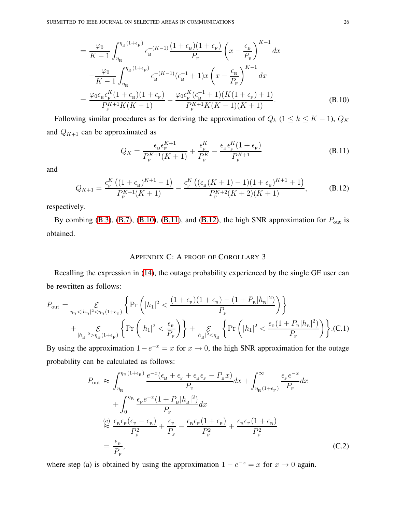$$
= \frac{\varphi_0}{K-1} \int_{\eta_{\rm B}}^{\eta_{\rm B}(1+\epsilon_{\rm F})} \epsilon_{\rm B}^{-(K-1)} \frac{(1+\epsilon_{\rm B})(1+\epsilon_{\rm F})}{P_{\rm F}} \left(x - \frac{\epsilon_{\rm B}}{P_{\rm F}}\right)^{K-1} dx -\frac{\varphi_0}{K-1} \int_{\eta_{\rm B}}^{\eta_{\rm B}(1+\epsilon_{\rm F})} \epsilon_{\rm B}^{-(K-1)} (\epsilon_{\rm B}^{-1}+1) x \left(x - \frac{\epsilon_{\rm B}}{P_{\rm F}}\right)^{K-1} dx = \frac{\varphi_0 \epsilon_{\rm B} \epsilon_{\rm F}^K (1+\epsilon_{\rm B})(1+\epsilon_{\rm F})}{P_{\rm F}^{K+1} K (K-1)} - \frac{\varphi_0 \epsilon_{\rm F}^K (\epsilon_{\rm B}^{-1}+1) (K(1+\epsilon_{\rm F})+1)}{P_{\rm F}^{K+1} K (K-1)(K+1)}.
$$
(B.10)

Following similar procedures as for deriving the approximation of  $Q_k$  (1 ≤ k ≤ K − 1),  $Q_K$ and  $Q_{K+1}$  can be approximated as

<span id="page-25-0"></span>
$$
Q_K = \frac{\epsilon_B \epsilon_F^{K+1}}{P_F^{K+1}(K+1)} + \frac{\epsilon_F^K}{P_F^K} - \frac{\epsilon_B \epsilon_F^K (1 + \epsilon_F)}{P_F^{K+1}}
$$
(B.11)

and

<span id="page-25-1"></span>
$$
Q_{K+1} = \frac{\epsilon_{\rm F}^{K} \left( (1 + \epsilon_{\rm B})^{K+1} - 1 \right)}{P_{\rm F}^{K+1}(K+1)} - \frac{\epsilon_{\rm F}^{K} \left( (\epsilon_{\rm B}(K+1) - 1)(1 + \epsilon_{\rm B})^{K+1} + 1 \right)}{P_{\rm F}^{K+2}(K+2)(K+1)},
$$
(B.12)

respectively.

By combing [\(B.3\)](#page-26-0), [\(B.7\)](#page-24-1), [\(B.10\)](#page-24-3), [\(B.11\)](#page-25-0), and [\(B.12\)](#page-25-1), the high SNR approximation for  $P_{\text{out}}$  is obtained.

#### APPENDIX C: A PROOF OF COROLLARY 3

Recalling the expression in [\(14\)](#page-11-0), the outage probability experienced by the single GF user can be rewritten as follows:

$$
\begin{split} P_{\text{out}} &= \mathop{\mathcal{E}}_{\eta_{\text{B}}<|h_{\text{B}}|^2<\eta_{\text{B}}(1+\epsilon_{\text{F}})} \left\{ \text{Pr}\left(|h_{1}|^2 < \frac{(1+\epsilon_{\text{F}})(1+\epsilon_{\text{B}}) - (1+P_{\text{B}}|h_{\text{B}}|^2)}{P_{\text{F}}}\right) \right\} \\ &+ \mathop{\mathcal{E}}_{|h_{\text{B}}|^2>\eta_{\text{B}}(1+\epsilon_{\text{F}})} \left\{ \text{Pr}\left(|h_{1}|^2 < \frac{\epsilon_{\text{F}}}{P_{\text{F}}}\right) \right\} + \mathop{\mathcal{E}}_{|h_{\text{B}}|^2<\eta_{\text{B}}}\left\{ \text{Pr}\left(|h_{1}|^2 < \frac{\epsilon_{\text{F}}(1+P_{\text{B}}|h_{\text{B}}|^2)}{P_{\text{F}}}\right) \right\} . \end{split} \tag{C.1}
$$

By using the approximation  $1-e^{-x} = x$  for  $x \to 0$ , the high SNR approximation for the outage probability can be calculated as follows:

$$
P_{\text{out}} \approx \int_{\eta_{\text{B}}}^{\eta_{\text{B}}(1+\epsilon_{\text{F}})} \frac{e^{-x}(\epsilon_{\text{B}} + \epsilon_{\text{F}} + \epsilon_{\text{B}}\epsilon_{\text{F}} - P_{\text{B}}x)}{P_{\text{F}}} dx + \int_{\eta_{\text{B}}(1+\epsilon_{\text{F}})}^{\infty} \frac{\epsilon_{\text{F}}e^{-x}}{P_{\text{F}}} dx
$$
  
+ 
$$
\int_{0}^{\eta_{\text{B}}}\frac{\epsilon_{\text{F}}e^{-x}(1+P_{\text{B}}|h_{\text{B}}|^{2})}{P_{\text{F}}} dx
$$
  

$$
\approx \frac{\epsilon_{\text{B}}\epsilon_{\text{F}}(\epsilon_{\text{F}} - \epsilon_{\text{B}})}{P_{\text{F}}^{2}} + \frac{\epsilon_{\text{F}}}{P_{\text{F}}} - \frac{\epsilon_{\text{B}}\epsilon_{\text{F}}(1+\epsilon_{\text{F}})}{P_{\text{F}}^{2}} + \frac{\epsilon_{\text{B}}\epsilon_{\text{F}}(1+\epsilon_{\text{B}})}{P_{\text{F}}^{2}}
$$
  
= 
$$
\frac{\epsilon_{\text{F}}}{P_{\text{F}}}, \qquad (C.2)
$$

where step (a) is obtained by using the approximation  $1 - e^{-x} = x$  for  $x \to 0$  again.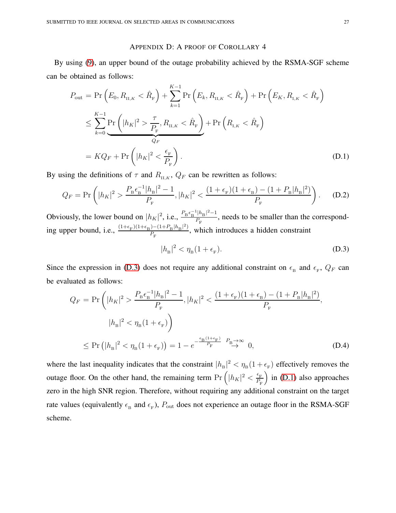#### APPENDIX D: A PROOF OF COROLLARY 4

By using [\(9\)](#page-9-1), an upper bound of the outage probability achieved by the RSMA-SGF scheme can be obtained as follows:

 $\mathbf{r} = \mathbf{r}$ 

<span id="page-26-1"></span>
$$
P_{\text{out}} = \Pr\left(E_0, R_{\text{II},K} < \hat{R}_{\text{F}}\right) + \sum_{k=1}^{K-1} \Pr\left(E_k, R_{\text{II},K} < \hat{R}_{\text{F}}\right) + \Pr\left(E_K, R_{\text{I},K} < \hat{R}_{\text{F}}\right)
$$
\n
$$
\leq \sum_{k=0}^{K-1} \Pr\left(|h_K|^2 > \frac{\tau}{P_{\text{F}}}, R_{\text{II},K} < \hat{R}_{\text{F}}\right) + \Pr\left(R_{\text{I},K} < \hat{R}_{\text{F}}\right)
$$
\n
$$
= KQ_F + \Pr\left(|h_K|^2 < \frac{\epsilon_{\text{F}}}{P_{\text{F}}}\right). \tag{D.1}
$$

By using the definitions of  $\tau$  and  $R_{\text{II},K}$ ,  $Q_F$  can be rewritten as follows:

$$
Q_F = \Pr\left(|h_K|^2 > \frac{P_{\rm B}\epsilon_{\rm B}^{-1}|h_{\rm B}|^2 - 1}{P_{\rm F}}, |h_K|^2 < \frac{(1 + \epsilon_{\rm F})(1 + \epsilon_{\rm B}) - (1 + P_{\rm B}|h_{\rm B}|^2)}{P_{\rm F}}\right). \tag{D.2}
$$

Obviously, the lower bound on  $|h_K|^2$ , i.e.,  $\frac{P_B \epsilon_B^{-1} |h_B|^2 - 1}{P_E}$  $\frac{p_{\text{B}}+p_{\text{B}}}{P_{\text{F}}}$ , needs to be smaller than the corresponding upper bound, i.e.,  $\frac{(1+\epsilon_{\rm F})(1+\epsilon_{\rm B})-(1+P_{\rm B}/h_{\rm B}|^2)}{P}$  $\frac{f(-1)^{-(1+T_{\rm B}/H_{\rm B})}}{P_{\rm F}}$ , which introduces a hidden constraint

<span id="page-26-0"></span>
$$
|h_{\mathrm{B}}|^2 < \eta_{\mathrm{B}}(1 + \epsilon_{\mathrm{F}}). \tag{D.3}
$$

Since the expression in [\(D.3\)](#page-26-0) does not require any additional constraint on  $\epsilon_B$  and  $\epsilon_F$ ,  $Q_F$  can be evaluated as follows:

$$
Q_F = \Pr\left(|h_K|^2 > \frac{P_{\rm B}\epsilon_{\rm B}^{-1}|h_{\rm B}|^2 - 1}{P_{\rm F}}, |h_K|^2 < \frac{(1 + \epsilon_{\rm F})(1 + \epsilon_{\rm B}) - (1 + P_{\rm B}|h_{\rm B}|^2)}{P_{\rm F}},\right.
$$
  

$$
|h_{\rm B}|^2 < \eta_{\rm B}(1 + \epsilon_{\rm F})\right)
$$
  

$$
\leq \Pr\left(|h_{\rm B}|^2 < \eta_{\rm B}(1 + \epsilon_{\rm F})\right) = 1 - e^{-\frac{\epsilon_{\rm B}(1 + \epsilon_{\rm F})}{P_{\rm F}}} \xrightarrow{P_{\rm B} \to \infty} 0,
$$
 (D.4)

where the last inequality indicates that the constraint  $|h_{B}|^2 < \eta_{B}(1+\epsilon_{F})$  effectively removes the outage floor. On the other hand, the remaining term  $Pr\left( |h_K|^2 < \frac{\epsilon_F}{P_L} \right)$  $P_{\rm F}$  $\int$  in [\(D.1\)](#page-26-1) also approaches zero in the high SNR region. Therefore, without requiring any additional constraint on the target rate values (equivalently  $\epsilon_B$  and  $\epsilon_F$ ),  $P_{\text{out}}$  does not experience an outage floor in the RSMA-SGF scheme.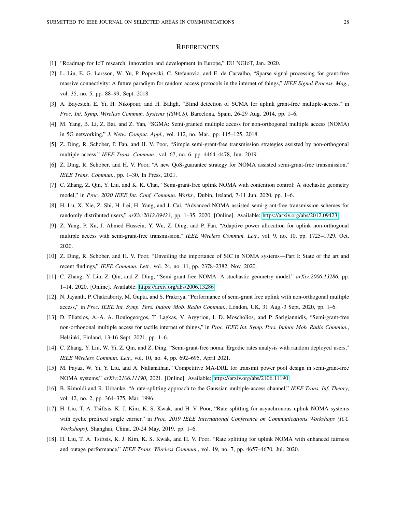#### **REFERENCES**

- <span id="page-27-0"></span>[1] "Roadmap for IoT research, innovation and development in Europe," EU NGIoT, Jan. 2020.
- [2] L. Liu, E. G. Larsson, W. Yu, P. Popovski, C. Stefanovic, and E. de Carvalho, "Sparse signal processing for grant-free massive connectivity: A future paradigm for random access protocols in the internet of things," *IEEE Signal Process. Mag.*, vol. 35, no. 5, pp. 88–99, Sept. 2018.
- <span id="page-27-2"></span><span id="page-27-1"></span>[3] A. Bayesteh, E. Yi, H. Nikopour, and H. Baligh, "Blind detection of SCMA for uplink grant-free multiple-access," in *Proc. Int. Symp. Wireless Commun. Systems (ISWCS)*, Barcelona, Spain, 26-29 Aug. 2014, pp. 1–6.
- <span id="page-27-3"></span>[4] M. Yang, B. Li, Z. Bai, and Z. Yan, "SGMA: Semi-granted multiple access for non-orthogonal multiple access (NOMA) in 5G networking," *J. Netw. Comput. Appl.*, vol. 112, no. Mar., pp. 115–125, 2018.
- <span id="page-27-4"></span>[5] Z. Ding, R. Schober, P. Fan, and H. V. Poor, "Simple semi-grant-free transmission strategies assisted by non-orthogonal multiple access," *IEEE Trans. Commun.*, vol. 67, no. 6, pp. 4464–4478, Jun. 2019.
- <span id="page-27-8"></span>[6] Z. Ding, R. Schober, and H. V. Poor, "A new QoS-guarantee strategy for NOMA assisted semi-grant-free transmission," *IEEE Trans. Commun.*, pp. 1–30, In Press, 2021.
- <span id="page-27-7"></span>[7] C. Zhang, Z. Qin, Y. Liu, and K. K. Chai, "Semi-grant-free uplink NOMA with contention control: A stochastic geometry model," in *Proc. 2020 IEEE Int. Conf. Commun. Works.*, Dubin, Ireland, 7-11 Jun. 2020, pp. 1–6.
- <span id="page-27-5"></span>[8] H. Lu, X. Xie, Z. Shi, H. Lei, H. Yang, and J. Cai, "Advanced NOMA assisted semi-grant-free transmission schemes for randomly distributed users," *arXiv:2012.09423*, pp. 1–35, 2020. [Online]. Available:<https://arxiv.org/abs/2012.09423>
- [9] Z. Yang, P. Xu, J. Ahmed Hussein, Y. Wu, Z. Ding, and P. Fan, "Adaptive power allocation for uplink non-orthogonal multiple access with semi-grant-free transmission," *IEEE Wireless Commun. Lett.*, vol. 9, no. 10, pp. 1725–1729, Oct. 2020.
- <span id="page-27-9"></span><span id="page-27-6"></span>[10] Z. Ding, R. Schober, and H. V. Poor, "Unveiling the importance of SIC in NOMA systems—Part I: State of the art and recent findings," *IEEE Commun. Lett.*, vol. 24, no. 11, pp. 2378–2382, Nov. 2020.
- <span id="page-27-10"></span>[11] C. Zhang, Y. Liu, Z. Qin, and Z. Ding, "Semi-grant-free NOMA: A stochastic geometry model," *arXiv:2006.13286*, pp. 1–14, 2020. [Online]. Available:<https://arxiv.org/abs/2006.13286>
- <span id="page-27-11"></span>[12] N. Jayanth, P. Chakraborty, M. Gupta, and S. Prakriya, "Performance of semi-grant free uplink with non-orthogonal multiple access," in *Proc. IEEE Int. Symp. Pers. Indoor Mob. Radio Commun.*, London, UK, 31 Aug.-3 Sept. 2020, pp. 1–6.
- [13] D. Pliatsios, A.-A. A. Boulogeorgos, T. Lagkas, V. Argyriou, I. D. Moscholios, and P. Sarigiannidis, "Semi-grant-free non-orthogonal multiple access for tactile internet of things," in *Proc. IEEE Int. Symp. Pers. Indoor Mob. Radio Commun.*, Helsinki, Finland, 13-16 Sept. 2021, pp. 1–6.
- <span id="page-27-13"></span><span id="page-27-12"></span>[14] C. Zhang, Y. Liu, W. Yi, Z. Qin, and Z. Ding, "Semi-grant-free noma: Ergodic rates analysis with random deployed users," *IEEE Wireless Commun. Lett.*, vol. 10, no. 4, pp. 692–695, April 2021.
- <span id="page-27-14"></span>[15] M. Fayaz, W. Yi, Y. Liu, and A. Nallanathan, "Competitive MA-DRL for transmit power pool design in semi-grant-free NOMA systems," *arXiv:2106.11190*, 2021. [Online]. Available:<https://arxiv.org/abs/2106.11190>
- <span id="page-27-15"></span>[16] B. Rimoldi and R. Urbanke, "A rate-splitting approach to the Gaussian multiple-access channel," *IEEE Trans. Inf. Theory*, vol. 42, no. 2, pp. 364–375, Mar. 1996.
- [17] H. Liu, T. A. Tsiftsis, K. J. Kim, K. S. Kwak, and H. V. Poor, "Rate splitting for asynchronous uplink NOMA systems with cyclic prefixed single carrier," in *Proc. 2019 IEEE International Conference on Communications Workshops (ICC Workshops)*, Shanghai, China, 20-24 May, 2019, pp. 1–6.
- <span id="page-27-16"></span>[18] H. Liu, T. A. Tsiftsis, K. J. Kim, K. S. Kwak, and H. V. Poor, "Rate splitting for uplink NOMA with enhanced fairness and outage performance," *IEEE Trans. Wireless Commun.*, vol. 19, no. 7, pp. 4657–4670, Jul. 2020.